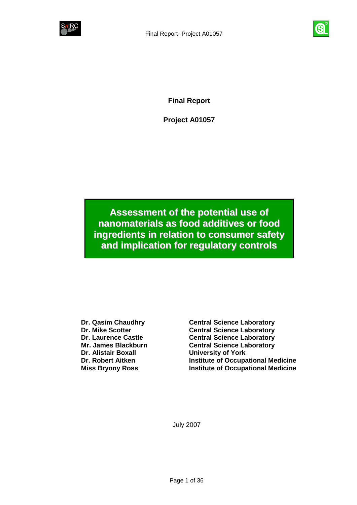



**Final Report**

**Project A01057**

**Assessment of the potential use of nanomaterials as food additives or food ingredients in relation to consumer safety and implication for regulatory controls**

**Dr. Alistair Boxall University of York**

**Dr. Qasim Chaudhry Central Science Laboratory Dr. Mike Scotter Central Science Laboratory Dr. Laurence Castle Central Science Laboratory Mr. James Blackburn Central Science Laboratory Dr. Robert Aitken Institute of Occupational Medicine Miss Bryony Ross The Institute of Occupational Medicine** 

July 2007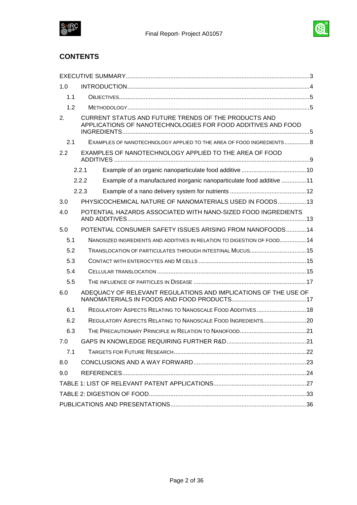



# **CONTENTS**

| 1.0 |                                                                                                                      |                                                                        |  |  |
|-----|----------------------------------------------------------------------------------------------------------------------|------------------------------------------------------------------------|--|--|
| 1.1 |                                                                                                                      |                                                                        |  |  |
| 1.2 |                                                                                                                      |                                                                        |  |  |
| 2.  | CURRENT STATUS AND FUTURE TRENDS OF THE PRODUCTS AND<br>APPLICATIONS OF NANOTECHNOLOGIES FOR FOOD ADDITIVES AND FOOD |                                                                        |  |  |
| 2.1 |                                                                                                                      | EXAMPLES OF NANOTECHNOLOGY APPLIED TO THE AREA OF FOOD INGREDIENTS8    |  |  |
| 2.2 | EXAMPLES OF NANOTECHNOLOGY APPLIED TO THE AREA OF FOOD                                                               |                                                                        |  |  |
|     | 2.2.1                                                                                                                |                                                                        |  |  |
|     | 2.2.2                                                                                                                | Example of a manufactured inorganic nanoparticulate food additive 11   |  |  |
|     | 2.2.3                                                                                                                |                                                                        |  |  |
| 3.0 |                                                                                                                      | PHYSICOCHEMICAL NATURE OF NANOMATERIALS USED IN FOODS 13               |  |  |
| 4.0 |                                                                                                                      | POTENTIAL HAZARDS ASSOCIATED WITH NANO-SIZED FOOD INGREDIENTS          |  |  |
| 5.0 |                                                                                                                      | POTENTIAL CONSUMER SAFETY ISSUES ARISING FROM NANOFOODS14              |  |  |
| 5.1 |                                                                                                                      | NANOSIZED INGREDIENTS AND ADDITIVES IN RELATION TO DIGESTION OF FOOD14 |  |  |
| 5.2 |                                                                                                                      | TRANSLOCATION OF PARTICULATES THROUGH INTESTINAL MUCUS15               |  |  |
| 5.3 |                                                                                                                      |                                                                        |  |  |
| 5.4 |                                                                                                                      |                                                                        |  |  |
| 5.5 |                                                                                                                      |                                                                        |  |  |
| 6.0 |                                                                                                                      | ADEQUACY OF RELEVANT REGULATIONS AND IMPLICATIONS OF THE USE OF        |  |  |
| 6.1 |                                                                                                                      | REGULATORY ASPECTS RELATING TO NANOSCALE FOOD ADDITIVES 18             |  |  |
| 6.2 |                                                                                                                      | REGULATORY ASPECTS RELATING TO NANOSCALE FOOD INGREDIENTS20            |  |  |
| 6.3 |                                                                                                                      |                                                                        |  |  |
|     |                                                                                                                      |                                                                        |  |  |
| 7.1 |                                                                                                                      |                                                                        |  |  |
| 8.0 |                                                                                                                      |                                                                        |  |  |
| 9.0 |                                                                                                                      |                                                                        |  |  |
|     |                                                                                                                      |                                                                        |  |  |
|     |                                                                                                                      |                                                                        |  |  |
|     |                                                                                                                      |                                                                        |  |  |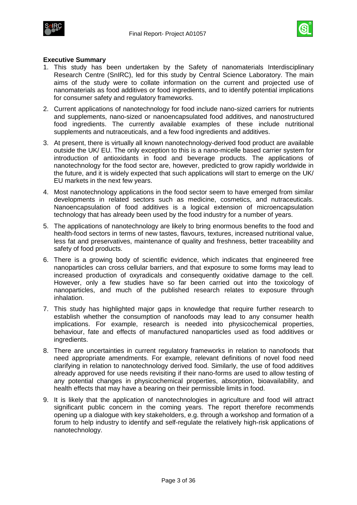



#### <span id="page-2-0"></span>**Executive Summary**

- 1. This study has been undertaken by the Safety of nanomaterials Interdisciplinary Research Centre (SnIRC), led for this study by Central Science Laboratory. The main aims of the study were to collate information on the current and projected use of nanomaterials as food additives or food ingredients, and to identify potential implications for consumer safety and regulatory frameworks.
- 2. Current applications of nanotechnology for food include nano-sized carriers for nutrients and supplements, nano-sized or nanoencapsulated food additives, and nanostructured food ingredients. The currently available examples of these include nutritional supplements and nutraceuticals, and a few food ingredients and additives.
- 3. At present, there is virtually all known nanotechnology-derived food product are available outside the UK/ EU. The only exception to this is a nano-micelle based carrier system for introduction of antioxidants in food and beverage products. The applications of nanotechnology for the food sector are, however, predicted to grow rapidly worldwide in the future, and it is widely expected that such applications will start to emerge on the UK/ EU markets in the next few years.
- 4. Most nanotechnology applications in the food sector seem to have emerged from similar developments in related sectors such as medicine, cosmetics, and nutraceuticals. Nanoencapsulation of food additives is a logical extension of microencapsulation technology that has already been used by the food industry for a number of years.
- 5. The applications of nanotechnology are likely to bring enormous benefits to the food and health-food sectors in terms of new tastes, flavours, textures, increased nutritional value, less fat and preservatives, maintenance of quality and freshness, better traceability and safety of food products.
- 6. There is a growing body of scientific evidence, which indicates that engineered free nanoparticles can cross cellular barriers, and that exposure to some forms may lead to increased production of oxyradicals and consequently oxidative damage to the cell. However, only a few studies have so far been carried out into the toxicology of nanoparticles, and much of the published research relates to exposure through inhalation.
- 7. This study has highlighted major gaps in knowledge that require further research to establish whether the consumption of nanofoods may lead to any consumer health implications. For example, research is needed into physicochemical properties, behaviour, fate and effects of manufactured nanoparticles used as food additives or ingredients.
- 8. There are uncertainties in current regulatory frameworks in relation to nanofoods that need appropriate amendments. For example, relevant definitions of novel food need clarifying in relation to nanotechnology derived food. Similarly, the use of food additives already approved for use needs revisiting if their nano-forms are used to allow testing of any potential changes in physicochemical properties, absorption, bioavailability, and health effects that may have a bearing on their permissible limits in food.
- 9. It is likely that the application of nanotechnologies in agriculture and food will attract significant public concern in the coming years. The report therefore recommends opening up a dialogue with key stakeholders, e.g. through a workshop and formation of a forum to help industry to identify and self-regulate the relatively high-risk applications of nanotechnology.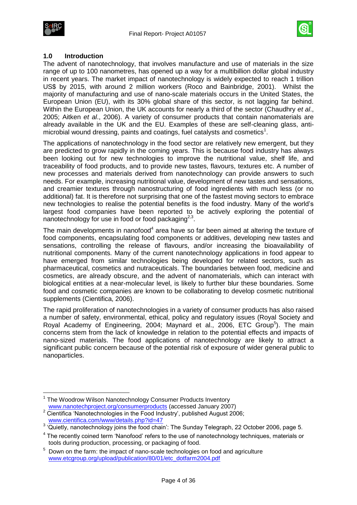

<span id="page-3-1"></span>

#### <span id="page-3-0"></span>**1.0 Introduction**

The advent of nanotechnology, that involves manufacture and use of materials in the size range of up to 100 nanometres, has opened up a way for a multibillion dollar global industry in recent years. The market impact of nanotechnology is widely expected to reach 1 trillion US\$ by 2015, with around 2 million workers (Roco and Bainbridge, 2001). Whilst the majority of manufacturing and use of nano-scale materials occurs in the United States, the European Union (EU), with its 30% global share of this sector, is not lagging far behind. Within the European Union, the UK accounts for nearly a third of the sector (Chaudhry *et al*., 2005; Aitken *et al*., 2006). A variety of consumer products that contain nanomaterials are already available in the UK and the EU. Examples of these are self-cleaning glass, antimicrobial wound dressing, paints and coatings, fuel catalysts and cosmetics<sup>1</sup>.

The applications of nanotechnology in the food sector are relatively new emergent, but they are predicted to grow rapidly in the coming years. This is because food industry has always been looking out for new technologies to improve the nutritional value, shelf life, and traceability of food products, and to provide new tastes, flavours, textures etc. A number of new processes and materials derived from nanotechnology can provide answers to such needs. For example, increasing nutritional value, development of new tastes and sensations, and creamier textures through nanostructuring of food ingredients with much less (or no additional) fat. It is therefore not surprising that one of the fastest moving sectors to embrace new technologies to realise the potential benefits is the food industry. Many of the world"s largest food companies have been reported to be actively exploring the potential of nanotechnology for use in food or food packaging $2,3$ .

<span id="page-3-2"></span>The main developments in nanofood $4$  area have so far been aimed at altering the texture of food components, encapsulating food components or additives, developing new tastes and sensations, controlling the release of flavours, and/or increasing the bioavailability of nutritional components. Many of the current nanotechnology applications in food appear to have emerged from similar technologies being developed for related sectors, such as pharmaceutical, cosmetics and nutraceuticals. The boundaries between food, medicine and cosmetics, are already obscure, and the advent of nanomaterials, which can interact with biological entities at a near-molecular level, is likely to further blur these boundaries. Some food and cosmetic companies are known to be collaborating to develop cosmetic nutritional supplements (Cientifica, 2006).

<span id="page-3-3"></span>The rapid proliferation of nanotechnologies in a variety of consumer products has also raised a number of safety, environmental, ethical, policy and regulatory issues (Royal Society and Royal Academy of Engineering, 2004; Maynard et al., 2006, ETC Group<sup>5</sup>). The main concerns stem from the lack of knowledge in relation to the potential effects and impacts of nano-sized materials. The food applications of nanotechnology are likely to attract a significant public concern because of the potential risk of exposure of wider general public to nanoparticles.

<sup>&</sup>lt;u>.</u> <sup>1</sup> The Woodrow Wilson Nanotechnology Consumer Products Inventory [www.nanotechproject.org/consumerproducts](http://www.nanotechproject.org/consumerproducts) (accessed January 2007)

<sup>&</sup>lt;sup>2</sup> Cientifica 'Nanotechnologies in the Food Industry', published August 2006; [www.cientifica.com/www/details.php?id=47](http://www.cientifica.com/www/details.php?id=47)

<sup>&</sup>lt;sup>3</sup> 'Quietly, nanotechnology joins the food chain': The Sunday Telegraph, 22 October 2006, page 5.

<sup>&</sup>lt;sup>4</sup> The recently coined term 'Nanofood' refers to the use of nanotechnology techniques, materials or tools during production, processing, or packaging of food.

<sup>5</sup> Down on the farm: the impact of nano-scale technologies on food and agriculture [www.etcgroup.org/upload/publication/80/01/etc\\_dotfarm2004.pdf](http://www.etcgroup.org/upload/publication/80/01/etc_dotfarm2004.pdf)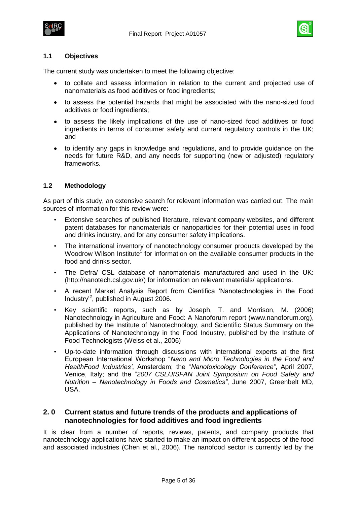



#### <span id="page-4-0"></span>**1.1 Objectives**

The current study was undertaken to meet the following objective:

- to collate and assess information in relation to the current and projected use of nanomaterials as food additives or food ingredients;
- to assess the potential hazards that might be associated with the nano-sized food additives or food ingredients;
- to assess the likely implications of the use of nano-sized food additives or food ingredients in terms of consumer safety and current regulatory controls in the UK; and
- to identify any gaps in knowledge and regulations, and to provide guidance on the  $\bullet$ needs for future R&D, and any needs for supporting (new or adjusted) regulatory frameworks.

#### <span id="page-4-1"></span>**1.2 Methodology**

As part of this study, an extensive search for relevant information was carried out. The main sources of information for this review were:

- Extensive searches of published literature, relevant company websites, and different patent databases for nanomaterials or nanoparticles for their potential uses in food and drinks industry, and for any consumer safety implications.
- The international inventory of nanotechnology consumer products developed by the Woodrow Wilson Institut[e](#page-3-1)<sup>1</sup> for information on the available consumer products in the food and drinks sector.
- The Defra/ CSL database of nanomaterials manufactured and used in the UK: [\(http://nanotech.csl.gov.uk/\)](http://nanotech.csl.gov.uk/) for information on relevant materials/ applications.
- A recent Market Analysis Report from Cientifica "Nanotechnologies in the Food Industry<sup>2</sup>[,](#page-3-2) published in August 2006.
- Key scientific reports, such as by Joseph, T. and Morrison, M. (2006) Nanotechnology in Agriculture and Food: A Nanoforum report [\(www.nanoforum.org\)](http://www.nanoforum.org/), published by the Institute of Nanotechnology, and Scientific Status Summary on the Applications of Nanotechnology in the Food Industry, published by the Institute of Food Technologists (Weiss et al., 2006)
- Up-to-date information through discussions with international experts at the first European International Workshop "*Nano and Micro Technologies in the Food and HealthFood Industries'*, Amsterdam; the "*Nanotoxicology Conference"*, April 2007, Venice, Italy; and the "*2007 CSL/JISFAN Joint Symposium on Food Safety and Nutrition – Nanotechnology in Foods and Cosmetics"*, June 2007, Greenbelt MD, USA.

## <span id="page-4-2"></span>**2. 0 Current status and future trends of the products and applications of nanotechnologies for food additives and food ingredients**

It is clear from a number of reports, reviews, patents, and company products that nanotechnology applications have started to make an impact on different aspects of the food and associated industries (Chen et al., 2006). The nanofood sector is currently led by the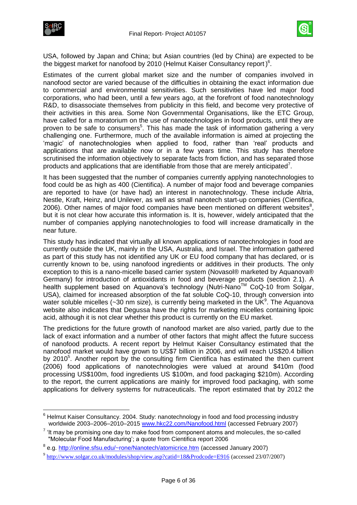





USA, followed by Japan and China; but Asian countries (led by China) are expected to be the biggest market for nanofood by 2010 (Helmut Kaiser Consultancy report)<sup>6</sup>.

Estimates of the current global market size and the number of companies involved in nanofood sector are varied because of the difficulties in obtaining the exact information due to commercial and environmental sensitivities. Such sensitivities have led major food corporations, who had been, until a few years ago, at the forefront of food nanotechnology R&D, to disassociate themselves from publicity in this field, and become very protective of their activities in this area. Some Non Governmental Organisations, like the ETC Group, have called for a moratorium on the use of nanotechnologies in food products, until they are proven to be safe to consumers<sup>5</sup>[.](#page-3-3) This has made the task of information gathering a very challenging one. Furthermore, much of the available information is aimed at projecting the "magic" of nanotechnologies when applied to food, rather than "real" products and applications that are available now or in a few years time. This study has therefore scrutinised the information objectively to separate facts from fiction, and has separated those products and applications that are identifiable from those that are merely anticipated<sup>7</sup>.

It has been suggested that the number of companies currently applying nanotechnologies to food could be as high as 400 (Cientifica). A number of major food and beverage companies are reported to have (or have had) an interest in nanotechnology. These include Altria, Nestle, Kraft, Heinz, and Unilever, as well as small nanotech start-up companies (Cientifica, 2006). Other names of major food companies have been mentioned on different websites ${}^{8}$ , but it is not clear how accurate this information is. It is, however, widely anticipated that the number of companies applying nanotechnologies to food will increase dramatically in the near future.

This study has indicated that virtually all known applications of nanotechnologies in food are currently outside the UK, mainly in the USA, Australia, and Israel. The information gathered as part of this study has not identified any UK or EU food company that has declared, or is currently known to be, using nanofood ingredients or additives in their products. The only exception to this is a nano-micelle based carrier system (Novasol® marketed by Aquanova® Germany) for introduction of antioxidants in food and beverage products (section 2.1). A health supplement based on Aquanova's technology (Nutri-Nano™ CoQ-10 from Solgar, USA), claimed for increased absorption of the fat soluble CoQ-10, through conversion into water soluble micelles (~30 nm size), is currently being marketed in the UK $^{9}$ . The Aquanova website also indicates that Degussa have the rights for marketing micelles containing lipoic acid, although it is not clear whether this product is currently on the EU market.

The predictions for the future growth of nanofood market are also varied, partly due to the lack of exact information and a number of other factors that might affect the future success of nanofood products. A recent report by Helmut Kaiser Consultancy estimated that the nanofood market would have grown to US\$7 billion in 2006, and will reach US\$20.4 billion by 2010<sup>5</sup>. Another report by the consulting firm Cientifica has estimated the then current (2006) food applications of nanotechnologies were valued at around \$410m (food processing US\$100m, food ingredients US \$100m, and food packaging \$210m). According to the report, the current applications are mainly for improved food packaging, with some applications for delivery systems for nutraceuticals. The report estimated that by 2012 the

 $6$  Helmut Kaiser Consultancy. 2004. Study: nanotechnology in food and food processing industry worldwide 2003–2006–2010–2015 [www.hkc22.com/Nanofood.html](http://www.hkc22.com/Nanofood.html) (accessed February 2007)

 $<sup>7</sup>$  'It may be promising one day to make food from component atoms and molecules, the so-called</sup> "Molecular Food Manufacturing': a quote from Cientifica report 2006

<sup>&</sup>lt;sup>8</sup> e.g.<http://online.sfsu.edu/~rone/Nanotech/atomicrice.htm> (accessed January 2007)

<sup>&</sup>lt;sup>9</sup> <http://www.solgar.co.uk/modules/shop/view.asp?catid=18&Prodcode=E916> (accessed 23/07/2007)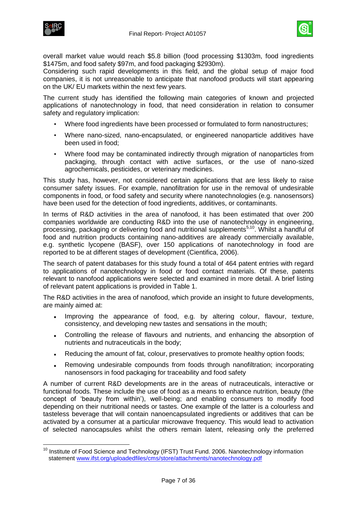



overall market value would reach \$5.8 billion (food processing \$1303m, food ingredients \$1475m, and food safety \$97m, and food packaging \$2930m).

Considering such rapid developments in this field, and the global setup of major food companies, it is not unreasonable to anticipate that nanofood products will start appearing on the UK/ EU markets within the next few years.

The current study has identified the following main categories of known and projected applications of nanotechnology in food, that need consideration in relation to consumer safety and regulatory implication:

- Where food ingredients have been processed or formulated to form nanostructures;
- Where nano-sized, nano-encapsulated, or engineered nanoparticle additives have been used in food;
- Where food may be contaminated indirectly through migration of nanoparticles from packaging, through contact with active surfaces, or the use of nano-sized agrochemicals, pesticides, or veterinary medicines.

This study has, however, not considered certain applications that are less likely to raise consumer safety issues. For example, nanofiltration for use in the removal of undesirable components in food, or food safety and security where nanotechnologies (e.g. nanosensors) have been used for the detection of food ingredients, additives, or contaminants.

<span id="page-6-0"></span>In terms of R&D activities in the area of nanofood, it has been estimated that over 200 companies worldwide are conducting R&D into the use of nanotechnology in engineering, processing, packaging or delivering food and nutritional supplements<sup>5,10</sup>. Whilst a handful of food and nutrition products containing nano-additives are already commercially available, e.g. synthetic lycopene (BASF), over 150 applications of nanotechnology in food are reported to be at different stages of development (Cientifica, 2006).

The search of patent databases for this study found a total of 464 patent entries with regard to applications of nanotechnology in food or food contact materials. Of these, patents relevant to nanofood applications were selected and examined in more detail. A brief listing of relevant patent applications is provided in Table 1.

The R&D activities in the area of nanofood, which provide an insight to future developments, are mainly aimed at:

- Improving the appearance of food, e.g. by altering colour, flavour, texture, consistency, and developing new tastes and sensations in the mouth;
- $\bullet$ Controlling the release of flavours and nutrients, and enhancing the absorption of nutrients and nutraceuticals in the body;
- Reducing the amount of fat, colour, preservatives to promote healthy option foods;  $\bullet$
- Removing undesirable compounds from foods through nanofiltration; incorporating  $\bullet$ nanosensors in food packaging for traceability and food safety

A number of current R&D developments are in the areas of nutraceuticals, interactive or functional foods. These include the use of food as a means to enhance nutrition, beauty (the concept of "beauty from within"), well-being; and enabling consumers to modify food depending on their nutritional needs or tastes. One example of the latter is a colourless and tasteless beverage that will contain nanoencapsulated ingredients or additives that can be activated by a consumer at a particular microwave frequency. This would lead to activation of selected nanocapsules whilst the others remain latent, releasing only the preferred

<sup>&</sup>lt;sup>10</sup> Institute of Food Science and Technology (IFST) Trust Fund. 2006. Nanotechnology information statement [www.ifst.org/uploadedfiles/cms/store/attachments/nanotechnology.pdf](http://www.ifst.org/uploadedfiles/cms/store/attachments/nanotechnology.pdf)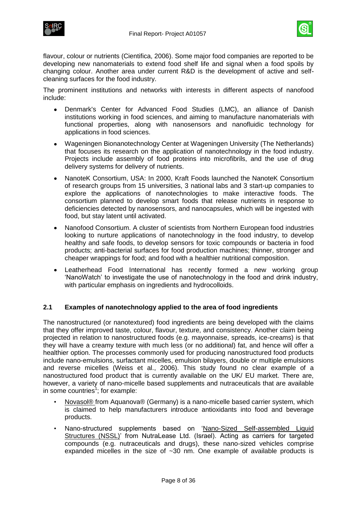



flavour, colour or nutrients (Cientifica, 2006). Some major food companies are reported to be developing new nanomaterials to extend food shelf life and signal when a food spoils by changing colour. Another area under current R&D is the development of active and selfcleaning surfaces for the food industry.

The prominent institutions and networks with interests in different aspects of nanofood include:

- Denmark's Center for Advanced Food Studies (LMC), an alliance of Danish institutions working in food sciences, and aiming to manufacture nanomaterials with functional properties, along with nanosensors and nanofluidic technology for applications in food sciences.
- Wageningen Bionanotechnology Center at Wageningen University (The Netherlands)  $\bullet$ that focuses its research on the application of nanotechnology in the food industry. Projects include assembly of food proteins into microfibrils, and the use of drug delivery systems for delivery of nutrients.
- NanoteK Consortium, USA: In 2000, Kraft Foods launched the NanoteK Consortium  $\bullet$ of research groups from 15 universities, 3 national labs and 3 start-up companies to explore the applications of nanotechnologies to make interactive foods. The consortium planned to develop smart foods that release nutrients in response to deficiencies detected by nanosensors, and nanocapsules, which will be ingested with food, but stay latent until activated.
- Nanofood Consortium. A cluster of scientists from Northern European food industries  $\bullet$ looking to nurture applications of nanotechnology in the food industry, to develop healthy and safe foods, to develop sensors for toxic compounds or bacteria in food products; anti-bacterial surfaces for food production machines; thinner, stronger and cheaper wrappings for food; and food with a healthier nutritional composition.
- Leatherhead Food International has recently formed a new working group  $\bullet$ "NanoWatch" to investigate the use of nanotechnology in the food and drink industry, with particular emphasis on ingredients and hydrocolloids.

## <span id="page-7-0"></span>**2.1 Examples of nanotechnology applied to the area of food ingredients**

The nanostructured (or nanotextured) food ingredients are being developed with the claims that they offer improved taste, colour, flavour, texture, and consistency. Another claim being projected in relation to nanostructured foods (e.g. mayonnaise, spreads, ice-creams) is that they will have a creamy texture with much less (or no additional) fat, and hence will offer a healthier option. The processes commonly used for producing nanostructured food products include nano-emulsions, surfactant micelles, emulsion bilayers, double or multiple emulsions and reverse micelles (Weiss et al., 2006). This study found no clear example of a nanostructured food product that is currently available on the UK/ EU market. There are, however, a variety of nano-micelle based supplements and nutraceuticals that are available in some countries<sup>[1](#page-3-1)</sup>; for example:

- Novasol® from Aquanova® (Germany) is a nano-micelle based carrier system, which is claimed to help manufacturers introduce antioxidants into food and beverage products.
- Nano-structured supplements based on "Nano-Sized Self-assembled Liquid Structures (NSSL)" from NutraLease Ltd. (Israel). Acting as carriers for targeted compounds (e.g. nutraceuticals and drugs), these nano-sized vehicles comprise expanded micelles in the size of  $\sim 30$  nm. One example of available products is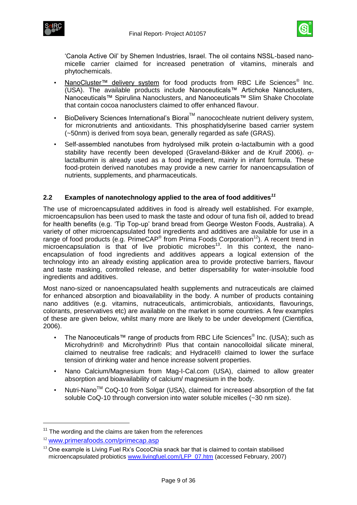

<span id="page-8-1"></span>

"Canola Active Oil" by Shemen Industries, Israel. The oil contains NSSL-based nanomicelle carrier claimed for increased penetration of vitamins, minerals and phytochemicals.

- NanoCluster<sup>™</sup> delivery system for food products from RBC Life Sciences<sup>®</sup> Inc. (USA). The available products include Nanoceuticals™ Artichoke Nanoclusters, Nanoceuticals™ Spirulina Nanoclusters, and Nanoceuticals™ Slim Shake Chocolate that contain cocoa nanoclusters claimed to offer enhanced flavour.
- BioDelivery Sciences International's Bioral $\mathbb{I}^{\mathbb{M}}$  nanocochleate nutrient delivery system, for micronutrients and antioxidants. This phosphatidylserine based carrier system (~50nm) is derived from soya bean, generally regarded as safe (GRAS).
- Self-assembled nanotubes from hydrolysed milk protein α-lactalbumin with a good stability have recently been developed (Graveland-Bikker and de Kruif 2006).  $\sigma$ lactalbumin is already used as a food ingredient, mainly in infant formula. These food-protein derived nanotubes may provide a new carrier for nanoencapsulation of nutrients, supplements, and pharmaceuticals.

## <span id="page-8-0"></span>**2.2 Examples of nanotechnology applied to the area of food additives***<sup>11</sup>*

The use of microencapsulated additives in food is already well established. For example, microencapsulion has been used to mask the taste and odour of tuna fish oil, added to bread for health benefits (e.g. "Tip Top-up" brand bread from George Weston Foods, Australia). A variety of other microencapsulated food ingredients and additives are available for use in a range of food products (e.g. PrimeCAP<sup>®</sup> from Prima Foods Corporation<sup>12</sup>). A recent trend in microencapsulation is that of live probiotic microbes<sup>13</sup>. In this context, the nanoencapsulation of food ingredients and additives appears a logical extension of the technology into an already existing application area to provide protective barriers, flavour and taste masking, controlled release, and better dispersability for water-insoluble food ingredients and additives.

Most nano-sized or nanoencapsulated health supplements and nutraceuticals are claimed for enhanced absorption and bioavailability in the body. A number of products containing nano additives (e.g. vitamins, nutraceuticals, antimicrobials, antioxidants, flavourings, colorants, preservatives etc) are available on the market in some countries. A few examples of these are given below, whilst many more are likely to be under development (Cientifica, 2006).

- The Nanoceuticals™ range of products from RBC Life Sciences<sup>®</sup> Inc. (USA); such as Microhydrin® and Microhydrin® Plus that contain nanocolloidal silicate mineral, claimed to neutralise free radicals; and Hydracel® claimed to lower the surface tension of drinking water and hence increase solvent properties.
- Nano Calcium/Magnesium from Mag-I-Cal.com (USA), claimed to allow greater absorption and bioavailability of calcium/ magnesium in the body.
- Nutri-Nano<sup>TM</sup> CoQ-10 from Solgar (USA), claimed for increased absorption of the fat soluble CoQ-10 through conversion into water soluble micelles (~30 nm size).

1

 $11$  The wording and the claims are taken from the references

<sup>12</sup> [www.primerafoods.com/primecap.asp](http://www.primerafoods.com/primecap.asp)

 $13$  One example is Living Fuel Rx's CocoChia snack bar that is claimed to contain stabilised microencapsulated probiotics [www.livingfuel.com/LFP\\_07.htm](http://www.livingfuel.com/LFP_07.htm) (accessed February, 2007)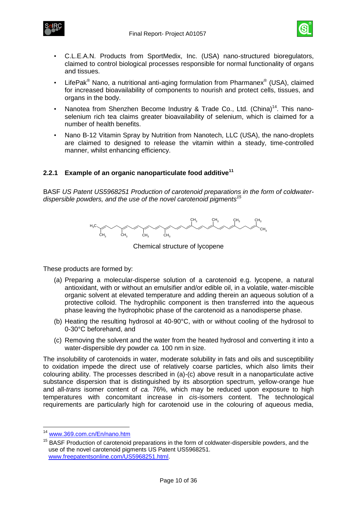



- C.L.E.A.N. Products from SportMedix, Inc. (USA) nano-structured bioregulators, claimed to control biological processes responsible for normal functionality of organs and tissues.
- LifePak<sup>®</sup> Nano, a nutritional anti-aging formulation from Pharmanex<sup>®</sup> (USA), claimed for increased bioavailability of components to nourish and protect cells, tissues, and organs in the body.
- Nanotea from Shenzhen Become Industry & Trade Co., Ltd. (China)<sup>14</sup>. This nanoselenium rich tea claims greater bioavailability of selenium, which is claimed for a number of health benefits.
- Nano B-12 Vitamin Spray by Nutrition from Nanotech, LLC (USA), the nano-droplets are claimed to designed to release the vitamin within a steady, time-controlled manner, whilst enhancing efficiency.

# <span id="page-9-0"></span>**2.2.1 Example of an organic nanoparticulate food additive[11](#page-8-1)**

BASF *US Patent US5968251 Production of carotenoid preparations in the form of coldwaterdispersible powders, and the use of the novel carotenoid pigments<sup>15</sup>*



Chemical structure of lycopene

These products are formed by:

- (a) Preparing a molecular-disperse solution of a carotenoid e.g. lycopene, a natural antioxidant, with or without an emulsifier and/or edible oil, in a volatile, water-miscible organic solvent at elevated temperature and adding therein an aqueous solution of a protective colloid. The hydrophilic component is then transferred into the aqueous phase leaving the hydrophobic phase of the carotenoid as a nanodisperse phase.
- (b) Heating the resulting hydrosol at 40-90°C, with or without cooling of the hydrosol to 0-30°C beforehand, and
- (c) Removing the solvent and the water from the heated hydrosol and converting it into a water-dispersible dry powder *ca.* 100 nm in size.

The insolubility of carotenoids in water, moderate solubility in fats and oils and susceptibility to oxidation impede the direct use of relatively coarse particles, which also limits their colouring ability. The processes described in (a)-(c) above result in a nanoparticulate active substance dispersion that is distinguished by its absorption spectrum, yellow-orange hue and all-*trans* isomer content of *ca.* 76%, which may be reduced upon exposure to high temperatures with concomitant increase in *cis*-isomers content. The technological requirements are particularly high for carotenoid use in the colouring of aqueous media,

1

[www.369.com.cn/En/nano.htm](http://www.369.com.cn/En/nano.htm)

<sup>&</sup>lt;sup>15</sup> BASF Production of carotenoid preparations in the form of coldwater-dispersible powders, and the use of the novel carotenoid pigments US Patent US5968251. [www.freepatentsonline.com/US5968251.html.](http://www.freepatentsonline.com/US5968251.html)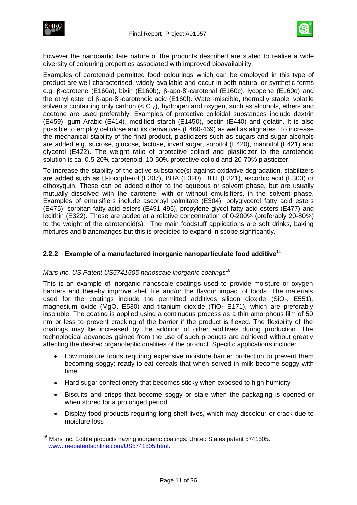



however the nanoparticulate nature of the products described are stated to realise a wide diversity of colouring properties associated with improved bioavailability.

Examples of carotenoid permitted food colourings which can be employed in this type of product are well characterised, widely available and occur in both natural or synthetic forms e.g.  $\beta$ -carotene (E160a), bixin (E160b),  $\beta$ -apo-8'-carotenal (E160c), lycopene (E160d) and the ethyl ester of  $\beta$ -apo-8'-carotenoic acid (E160f). Water-miscible, thermally stable, volatile solvents containing only carbon  $( $C_{10}$ ), hydrogen and oxygen, such as alcohols, others and$ acetone are used preferably. Examples of protective colloidal substances include dextrin (E459), gum Arabic (E414), modified starch (E1450), pectin (E440) and gelatin. It is also possible to employ cellulose and its derivatives (E460-469) as well as alignates. To increase the mechanical stability of the final product, plasticizers such as sugars and sugar alcohols are added e.g. sucrose, glucose, lactose, invert sugar, sorbitol (E420), mannitol (E421) and glycerol (E422). The weight ratio of protective colloid and plasticizer to the carotenoid solution is ca. 0.5-20% carotenoid, 10-50% protective colloid and 20-70% plasticizer.

To increase the stability of the active substance(s) against oxidative degradation, stabilizers are added such as  $\Box$ -tocopherol (E307), BHA (E320), BHT (E321), ascorbic acid (E300) or ethoxyquin. These can be added either to the aqueous or solvent phase, but are usually mutually dissolved with the carotene, with or without emulsifiers, in the solvent phase. Examples of emulsifiers include ascorbyl palmitate (E304), polyglycerol fatty acid esters (E475), sorbitan fatty acid esters (E491-495), propylene glycol fatty acid esters (E477) and lecithin (E322). These are added at a relative concentration of 0-200% (preferably 20-80%) to the weight of the carotenoid(s). The main foodstuff applications are soft drinks, baking mixtures and blancmanges but this is predicted to expand in scope significantly.

#### <span id="page-10-0"></span>**2.2.2 Example of a manufactured inorganic nanoparticulate food additive[11](#page-8-1)**

#### *Mars Inc. US Patent US5741505 nanoscale inorganic coatings*<sup>16</sup>

This is an example of inorganic nanoscale coatings used to provide moisture or oxygen barriers and thereby improve shelf life and/or the flavour impact of foods. The materials used for the coatings include the permitted additives silicon dioxide ( $SiO<sub>2</sub>$ , E551), magnesium oxide (MgO, E530) and titanium dioxide (TiO<sub>2</sub> E171), which are preferably insoluble. The coating is applied using a continuous process as a thin amorphous film of 50 nm or less to prevent cracking of the barrier if the product is flexed. The flexibility of the coatings may be increased by the addition of other additives during production. The technological advances gained from the use of such products are achieved without greatly affecting the desired organoleptic qualities of the product. Specific applications include:

- Low moisture foods requiring expensive moisture barrier protection to prevent them becoming soggy; ready-to-eat cereals that when served in milk become soggy with time
- Hard sugar confectionery that becomes sticky when exposed to high humidity  $\bullet$
- Biscuits and crisps that become soggy or stale when the packaging is opened or  $\bullet$ when stored for a prolonged period
- Display food products requiring long shelf lives, which may discolour or crack due to  $\bullet$ moisture loss

<sup>&</sup>lt;u>.</u> <sup>16</sup> Mars Inc. Edible products having inorganic coatings. United States patent 5741505. [www.freepatentsonline.com/US5741505.html.](http://www.freepatentsonline.com/US5741505.html)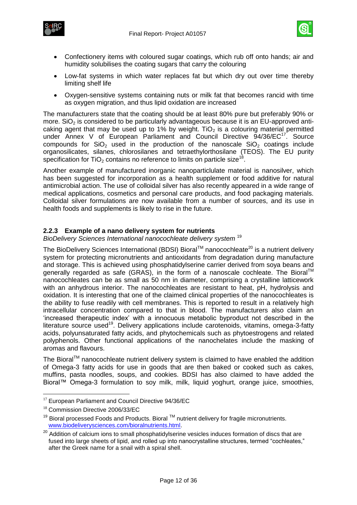



- Confectionery items with coloured sugar coatings, which rub off onto hands; air and humidity solubilises the coating sugars that carry the colouring
- Low-fat systems in which water replaces fat but which dry out over time thereby limiting shelf life
- Oxygen-sensitive systems containing nuts or milk fat that becomes rancid with time  $\bullet$ as oxygen migration, and thus lipid oxidation are increased

The manufacturers state that the coating should be at least 80% pure but preferably 90% or more.  $SiO<sub>2</sub>$  is considered to be particularly advantageous because it is an EU-approved anticaking agent that may be used up to 1% by weight. TiO<sub>2</sub> is a colouring material permitted under Annex V of European Parliament and Council Directive 94/36/EC<sup>17</sup>. Source compounds for  $SiO<sub>2</sub>$  used in the production of the nanoscale  $SiO<sub>2</sub>$  coatings include organosilicates, silanes, chlorosilanes and tetraethylorthosilane (TEOS). The EU purity specification for  $TiO<sub>2</sub>$  contains no reference to limits on particle size<sup>1</sup> .

Another example of manufactured inorganic nanoparticlulate material is nanosilver, which has been suggested for incorporation as a health supplement or food additive for natural antimicrobial action. The use of colloidal silver has also recently appeared in a wide range of medical applications, cosmetics and personal care products, and food packaging materials. Colloidal silver formulations are now available from a number of sources, and its use in health foods and supplements is likely to rise in the future.

## <span id="page-11-0"></span>**2.2.3 Example of a nano delivery system for nutrients**

<span id="page-11-1"></span>*BioDelivery Sciences International nanocochleate delivery system* <sup>19</sup>

The BioDelivery Sciences International (BDSI) Bioral™ nanocochleate<sup>20</sup> is a nutrient delivery system for protecting micronutrients and antioxidants from degradation during manufacture and storage. This is achieved using phosphatidylserine carrier derived from soya beans and generally regarded as safe (GRAS), in the form of a nanoscale cochleate. The Bioral™ nanocochleates can be as small as 50 nm in diameter, comprising a crystalline latticework with an anhydrous interior. The nanocochleates are resistant to heat, pH, hydrolysis and oxidation. It is interesting that one of the claimed clinical properties of the nanocochleates is the ability to fuse readily with cell membranes. This is reported to result in a relatively high intracellular concentration compared to that in blood. The manufacturers also claim an "increased therapeutic index" with a innocuous metabolic byproduct not described in the literature source used<sup>[19](#page-11-1)</sup>. Delivery applications include carotenoids, vitamins, omega-3-fatty acids, polyunsaturated fatty acids, and phytochemicals such as phytoestrogens and related polyphenols. Other functional applications of the nanochelates include the masking of aromas and flavours.

The Bioral™ nanocochleate nutrient delivery system is claimed to have enabled the addition of Omega-3 fatty acids for use in goods that are then baked or cooked such as cakes, muffins, pasta noodles, soups, and cookies. BDSI has also claimed to have added the Bioral™ Omega-3 formulation to soy milk, milk, liquid yoghurt, orange juice, smoothies,

<sup>1</sup> <sup>17</sup> European Parliament and Council Directive 94/36/EC

<sup>&</sup>lt;sup>18</sup> Commission Directive 2006/33/EC

 $19$  Bioral processed Foods and Products. Bioral  $\text{TM}$  nutrient delivery for fragile micronutrients. [www.biodeliverysciences.com/bioralnutrients.html.](http://www.biodeliverysciences.com/bioralnutrients.html)

<sup>&</sup>lt;sup>20</sup> Addition of calcium ions to small phosphatidylserine vesicles induces formation of discs that are fused into large sheets of lipid, and rolled up into nanocrystalline structures, termed "cochleates," after the Greek name for a snail with a spiral shell.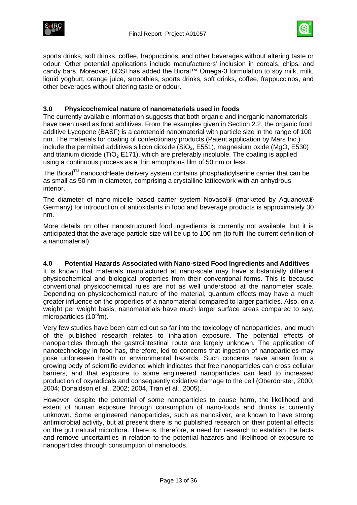



sports drinks, soft drinks, coffee, frappuccinos, and other beverages without altering taste or odour. Other potential applications include manufacturers' inclusion in cereals, chips, and candy bars. Moreover, BDSI has added the Bioral™ Omega-3 formulation to soy milk, milk, liquid yoghurt, orange juice, smoothies, sports drinks, soft drinks, coffee, frappuccinos, and other beverages without altering taste or odour.

## <span id="page-12-0"></span>**3.0 Physicochemical nature of nanomaterials used in foods**

The currently available information suggests that both organic and inorganic nanomaterials have been used as food additives. From the examples given in Section 2.2, the organic food additive Lycopene (BASF) is a carotenoid nanomaterial with particle size in the range of 100 nm. The materials for coating of confectionary products (Patent application by Mars Inc.) include the permitted additives silicon dioxide (SiO $_2$ , E551), magnesium oxide (MgO, E530) and titanium dioxide ( $TiO<sub>2</sub> E171$ ), which are preferably insoluble. The coating is applied using a continuous process as a thin amorphous film of 50 nm or less.

The Bioral<sup>TM</sup> nanocochleate delivery system contains phosphatidylserine carrier that can be as small as 50 nm in diameter, comprising a crystalline latticework with an anhydrous interior.

The diameter of nano-micelle based carrier system Novasol® (marketed by Aquanova® Germany) for introduction of antioxidants in food and beverage products is approximately 30 nm.

More details on other nanostructured food ingredients is currently not available, but it is anticipated that the average particle size will be up to 100 nm (to fulfil the current definition of a nanomaterial).

#### <span id="page-12-1"></span>**4.0 Potential Hazards Associated with Nano-sized Food Ingredients and Additives**

It is known that materials manufactured at nano-scale may have substantially different physicochemical and biological properties from their conventional forms. This is because conventional physicochemical rules are not as well understood at the nanometer scale. Depending on physicochemical nature of the material, quantum effects may have a much greater influence on the properties of a nanomaterial compared to larger particles. Also, on a weight per weight basis, nanomaterials have much larger surface areas compared to say, microparticles (10<sup>-6</sup>m).

Very few studies have been carried out so far into the toxicology of nanoparticles, and much of the published research relates to inhalation exposure. The potential effects of nanoparticles through the gastrointestinal route are largely unknown. The application of nanotechnology in food has, therefore, led to concerns that ingestion of nanoparticles may pose unforeseen health or environmental hazards. Such concerns have arisen from a growing body of scientific evidence which indicates that free nanoparticles can cross cellular barriers, and that exposure to some engineered nanoparticles can lead to increased production of oxyradicals and consequently oxidative damage to the cell (Oberdörster, 2000; 2004; Donaldson et al., 2002; 2004, Tran et al., 2005).

However, despite the potential of some nanoparticles to cause harm, the likelihood and extent of human exposure through consumption of nano-foods and drinks is currently unknown. Some engineered nanoparticles, such as nanosilver, are known to have strong antimicrobial activity, but at present there is no published research on their potential effects on the gut natural microflora. There is, therefore, a need for research to establish the facts and remove uncertainties in relation to the potential hazards and likelihood of exposure to nanoparticles through consumption of nanofoods.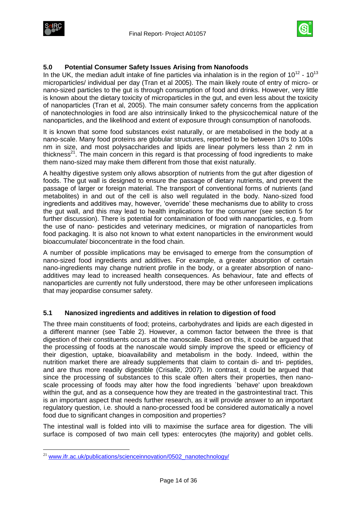



## <span id="page-13-0"></span>**5.0 Potential Consumer Safety Issues Arising from Nanofoods**

In the UK, the median adult intake of fine particles via inhalation is in the region of  $10^{12}$  -  $10^{13}$ microparticles/ individual per day (Tran et al 2005). The main likely route of entry of micro- or nano-sized particles to the gut is through consumption of food and drinks. However, very little is known about the dietary toxicity of microparticles in the gut, and even less about the toxicity of nanoparticles (Tran et al, 2005). The main consumer safety concerns from the application of nanotechnologies in food are also intrinsically linked to the physicochemical nature of the nanoparticles, and the likelihood and extent of exposure through consumption of nanofoods.

It is known that some food substances exist naturally, or are metabolised in the body at a nano-scale. Many food proteins are globular structures, reported to be between 10's to 100s nm in size, and most polysaccharides and lipids are linear polymers less than 2 nm in thickness<sup>21</sup>. The main concern in this regard is that processing of food ingredients to make them nano-sized may make them different from those that exist naturally.

A healthy digestive system only allows absorption of nutrients from the gut after digestion of foods. The gut wall is designed to ensure the passage of dietary nutrients, and prevent the passage of larger or foreign material. The transport of conventional forms of nutrients (and metabolites) in and out of the cell is also well regulated in the body. Nano-sized food ingredients and additives may, however, "override" these mechanisms due to ability to cross the gut wall, and this may lead to health implications for the consumer (see section 5 for further discussion). There is potential for contamination of food with nanoparticles, e.g. from the use of nano- pesticides and veterinary medicines, or migration of nanoparticles from food packaging. It is also not known to what extent nanoparticles in the environment would bioaccumulate/ bioconcentrate in the food chain.

A number of possible implications may be envisaged to emerge from the consumption of nano-sized food ingredients and additives. For example, a greater absorption of certain nano-ingredients may change nutrient profile in the body, or a greater absorption of nanoadditives may lead to increased health consequences. As behaviour, fate and effects of nanoparticles are currently not fully understood, there may be other unforeseen implications that may jeopardise consumer safety.

#### <span id="page-13-1"></span>**5.1 Nanosized ingredients and additives in relation to digestion of food**

The three main constituents of food; proteins, carbohydrates and lipids are each digested in a different manner (see Table 2). However, a common factor between the three is that digestion of their constituents occurs at the nanoscale. Based on this, it could be argued that the processing of foods at the nanoscale would simply improve the speed or efficiency of their digestion, uptake, bioavailability and metabolism in the body. Indeed, within the nutrition market there are already supplements that claim to contain di- and tri- peptides, and are thus more readily digestible (Crisalle, 2007). In contrast, it could be argued that since the processing of substances to this scale often alters their properties, then nanoscale processing of foods may alter how the food ingredients `behave' upon breakdown within the gut, and as a consequence how they are treated in the gastrointestinal tract. This is an important aspect that needs further research, as it will provide answer to an important regulatory question, i.e. should a nano-processed food be considered automatically a novel food due to significant changes in composition and properties?

The intestinal wall is folded into villi to maximise the surface area for digestion. The villi surface is composed of two main cell types: enterocytes (the majority) and goblet cells.

 $^{21}$  [www.ifr.ac.uk/publications/scienceinnovation/0502\\_nanotechnology/](http://www.ifr.ac.uk/publications/scienceinnovation/0502_nanotechnology/)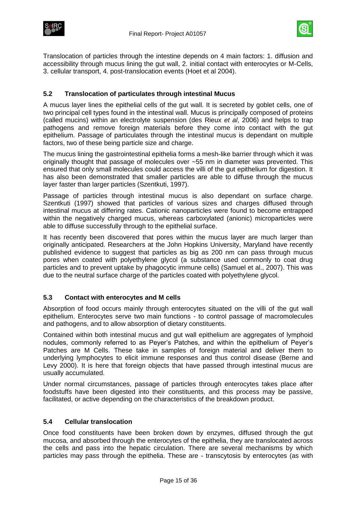



Translocation of particles through the intestine depends on 4 main factors: 1. diffusion and accessibility through mucus lining the gut wall, 2. initial contact with enterocytes or M-Cells, 3. cellular transport, 4. post-translocation events (Hoet et al 2004).

## <span id="page-14-0"></span>**5.2 Translocation of particulates through intestinal Mucus**

A mucus layer lines the epithelial cells of the gut wall. It is secreted by goblet cells, one of two principal cell types found in the intestinal wall. Mucus is principally composed of proteins (called mucins) within an electrolyte suspension (des Rieux *et al*, 2006) and helps to trap pathogens and remove foreign materials before they come into contact with the gut epithelium. Passage of particulates through the intestinal mucus is dependant on multiple factors, two of these being particle size and charge.

The mucus lining the gastrointestinal epithelia forms a mesh-like barrier through which it was originally thought that passage of molecules over ~55 nm in diameter was prevented. This ensured that only small molecules could access the villi of the gut epithelium for digestion. It has also been demonstrated that smaller particles are able to diffuse through the mucus layer faster than larger particles (Szentkuti, 1997).

Passage of particles through intestinal mucus is also dependant on surface charge. Szentkuti (1997) showed that particles of various sizes and charges diffused through intestinal mucus at differing rates. Cationic nanoparticles were found to become entrapped within the negatively charged mucus, whereas carboxylated (anionic) microparticles were able to diffuse successfully through to the epithelial surface.

It has recently been discovered that pores within the mucus layer are much larger than originally anticipated. Researchers at the John Hopkins University, Maryland have recently published evidence to suggest that particles as big as 200 nm can pass through mucus pores when coated with polyethylene glycol (a substance used commonly to coat drug particles and to prevent uptake by phagocytic immune cells) (Samuel et al., 2007). This was due to the neutral surface charge of the particles coated with polyethylene glycol.

#### <span id="page-14-1"></span>**5.3 Contact with enterocytes and M cells**

Absorption of food occurs mainly through enterocytes situated on the villi of the gut wall epithelium. Enterocytes serve two main functions - to control passage of macromolecules and pathogens, and to allow absorption of dietary constituents.

Contained within both intestinal mucus and gut wall epithelium are aggregates of lymphoid nodules, commonly referred to as Peyer"s Patches, and within the epithelium of Peyer"s Patches are M Cells. These take in samples of foreign material and deliver them to underlying lymphocytes to elicit immune responses and thus control disease (Berne and Levy 2000). It is here that foreign objects that have passed through intestinal mucus are usually accumulated.

Under normal circumstances, passage of particles through enterocytes takes place after foodstuffs have been digested into their constituents, and this process may be passive, facilitated, or active depending on the characteristics of the breakdown product.

#### <span id="page-14-2"></span>**5.4 Cellular translocation**

Once food constituents have been broken down by enzymes, diffused through the gut mucosa, and absorbed through the enterocytes of the epithelia, they are translocated across the cells and pass into the hepatic circulation. There are several mechanisms by which particles may pass through the epithelia. These are - transcytosis by enterocytes (as with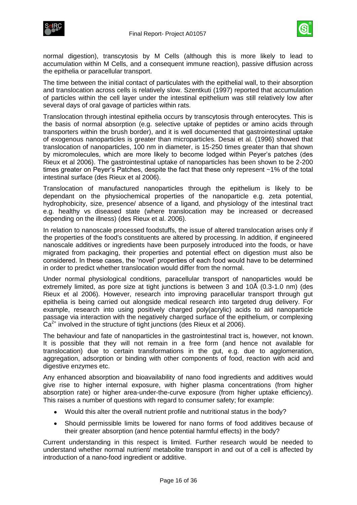



normal digestion), transcytosis by M Cells (although this is more likely to lead to accumulation within M Cells, and a consequent immune reaction), passive diffusion across the epithelia or paracellular transport.

The time between the initial contact of particulates with the epithelial wall, to their absorption and translocation across cells is relatively slow. Szentkuti (1997) reported that accumulation of particles within the cell layer under the intestinal epithelium was still relatively low after several days of oral gavage of particles within rats.

Translocation through intestinal epithelia occurs by transcytosis through enterocytes. This is the basis of normal absorption (e.g. selective uptake of peptides or amino acids through transporters within the brush border), and it is well documented that gastrointestinal uptake of exogenous nanoparticles is greater than microparticles. Desai et al. (1996) showed that translocation of nanoparticles, 100 nm in diameter, is 15-250 times greater than that shown by micromolecules, which are more likely to become lodged within Peyer"s patches (des Rieux et al 2006). The gastrointestinal uptake of nanoparticles has been shown to be 2-200 times greater on Peyer's Patches, despite the fact that these only represent ~1% of the total intestinal surface (des Rieux et al 2006).

Translocation of manufactured nanoparticles through the epithelium is likely to be dependant on the physiochemical properties of the nanoparticle e.g. zeta potential, hydrophobicity, size, presence/ absence of a ligand, and physiology of the intestinal tract e.g. healthy vs diseased state (where translocation may be increased or decreased depending on the illness) (des Rieux et al. 2006).

In relation to nanoscale processed foodstuffs, the issue of altered translocation arises only if the properties of the food's constituents are altered by processing. In addition, if engineered nanoscale additives or ingredients have been purposely introduced into the foods, or have migrated from packaging, their properties and potential effect on digestion must also be considered. In these cases, the "novel" properties of each food would have to be determined in order to predict whether translocation would differ from the normal.

Under normal physiological conditions, paracellular transport of nanoparticles would be extremely limited, as pore size at tight junctions is between 3 and 10Å (0.3-1.0 nm) (des Rieux et al 2006). However, research into improving paracellular transport through gut epithelia is being carried out alongside medical research into targeted drug delivery. For example, research into using positively charged poly(acrylic) acids to aid nanoparticle passage via interaction with the negatively charged surface of the epithelium, or complexing  $Ca<sup>2+</sup>$  involved in the structure of tight junctions (des Rieux et al 2006).

The behaviour and fate of nanoparticles in the gastrointestinal tract is, however, not known. It is possible that they will not remain in a free form (and hence not available for translocation) due to certain transformations in the gut, e.g. due to agglomeration, aggregation, adsorption or binding with other components of food, reaction with acid and digestive enzymes etc.

Any enhanced absorption and bioavailability of nano food ingredients and additives would give rise to higher internal exposure, with higher plasma concentrations (from higher absorption rate) or higher area-under-the-curve exposure (from higher uptake efficiency). This raises a number of questions with regard to consumer safety; for example:

- Would this alter the overall nutrient profile and nutritional status in the body?
- Should permissible limits be lowered for nano forms of food additives because of  $\bullet$ their greater absorption (and hence potential harmful effects) in the body?

Current understanding in this respect is limited. Further research would be needed to understand whether normal nutrient/ metabolite transport in and out of a cell is affected by introduction of a nano-food ingredient or additive.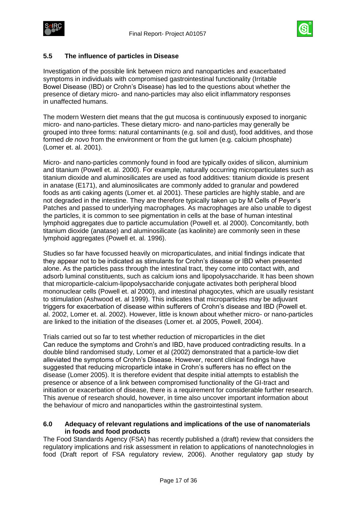



#### <span id="page-16-0"></span>**5.5 The influence of particles in Disease**

Investigation of the possible link between micro and nanoparticles and exacerbated symptoms in individuals with compromised gastrointestinal functionality (Irritable Bowel Disease (IBD) or Crohn"s Disease) has led to the questions about whether the presence of dietary micro- and nano-particles may also elicit inflammatory responses in unaffected humans.

The modern Western diet means that the gut mucosa is continuously exposed to inorganic micro- and nano-particles. These dietary micro- and nano-particles may generally be grouped into three forms: natural contaminants (e.g. soil and dust), food additives, and those formed *de novo* from the environment or from the gut lumen (e.g. calcium phosphate) (Lomer et. al. 2001).

Micro- and nano-particles commonly found in food are typically oxides of silicon, aluminium and titanium (Powell et. al. 2000). For example, naturally occurring microparticulates such as titanium dioxide and aluminosilicates are used as food additives: titanium dioxide is present in anatase (E171), and aluminosilicates are commonly added to granular and powdered foods as anti caking agents (Lomer et. al 2001). These particles are highly stable, and are not degraded in the intestine. They are therefore typically taken up by M Cells of Peyer"s Patches and passed to underlying macrophages. As macrophages are also unable to digest the particles, it is common to see pigmentation in cells at the base of human intestinal lymphoid aggregates due to particle accumulation (Powell et. al 2000). Concomitantly, both titanium dioxide (anatase) and aluminosilicate (as kaolinite) are commonly seen in these lymphoid aggregates (Powell et. al. 1996).

Studies so far have focussed heavily on microparticulates, and initial findings indicate that they appear not to be indicated as stimulants for Crohn"s disease or IBD when presented alone. As the particles pass through the intestinal tract, they come into contact with, and adsorb luminal constituents, such as calcium ions and lipopolysaccharide. It has been shown that microparticle-calcium-lipopolysaccharide conjugate activates both peripheral blood mononuclear cells (Powell et. al 2000), and intestinal phagocytes, which are usually resistant to stimulation (Ashwood et. al 1999). This indicates that microparticles may be adjuvant triggers for exacerbation of disease within sufferers of Crohn"s disease and IBD (Powell et. al. 2002, Lomer et. al. 2002). However, little is known about whether micro- or nano-particles are linked to the initiation of the diseases (Lomer et. al 2005, Powell, 2004).

Trials carried out so far to test whether reduction of microparticles in the diet Can reduce the symptoms and Crohn"s and IBD, have produced contradicting results. In a double blind randomised study, Lomer et al (2002) demonstrated that a particle-low diet alleviated the symptoms of Crohn"s Disease. However, recent clinical findings have suggested that reducing microparticle intake in Crohn"s sufferers has no effect on the disease (Lomer 2005). It is therefore evident that despite initial attempts to establish the presence or absence of a link between compromised functionality of the GI-tract and initiation or exacerbation of disease, there is a requirement for considerable further research. This avenue of research should, however, in time also uncover important information about the behaviour of micro and nanoparticles within the gastrointestinal system.

#### <span id="page-16-1"></span>**6.0 Adequacy of relevant regulations and implications of the use of nanomaterials in foods and food products**

The Food Standards Agency (FSA) has recently published a (draft) review that considers the regulatory implications and risk assessment in relation to applications of nanotechnologies in food (Draft report of FSA regulatory review, 2006). Another regulatory gap study by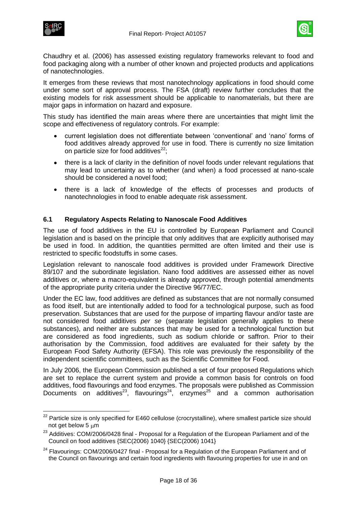



Chaudhry et al. (2006) has assessed existing regulatory frameworks relevant to food and food packaging along with a number of other known and projected products and applications of nanotechnologies.

It emerges from these reviews that most nanotechnology applications in food should come under some sort of approval process. The FSA (draft) review further concludes that the existing models for risk assessment should be applicable to nanomaterials, but there are major gaps in information on hazard and exposure.

This study has identified the main areas where there are uncertainties that might limit the scope and effectiveness of regulatory controls. For example:

- current legislation does not differentiate between "conventional" and "nano" forms of food additives already approved for use in food. There is currently no size limitation on particle size for food additives $^{22}$ .
- there is a lack of clarity in the definition of novel foods under relevant regulations that  $\bullet$  . may lead to uncertainty as to whether (and when) a food processed at nano-scale should be considered a novel food;
- there is a lack of knowledge of the effects of processes and products of  $\bullet$ nanotechnologies in food to enable adequate risk assessment.

#### <span id="page-17-0"></span>**6.1 Regulatory Aspects Relating to Nanoscale Food Additives**

The use of food additives in the EU is controlled by European Parliament and Council legislation and is based on the principle that only additives that are explicitly authorised may be used in food. In addition, the quantities permitted are often limited and their use is restricted to specific foodstuffs in some cases.

Legislation relevant to nanoscale food additives is provided under Framework Directive 89/107 and the subordinate legislation. Nano food additives are assessed either as novel additives or, where a macro-equivalent is already approved, through potential amendments of the appropriate purity criteria under the Directive 96/77/EC.

Under the EC law, food additives are defined as substances that are not normally consumed as food itself, but are intentionally added to food for a technological purpose, such as food preservation. Substances that are used for the purpose of imparting flavour and/or taste are not considered food additives *per se* (separate legislation generally applies to these substances), and neither are substances that may be used for a technological function but are considered as food ingredients, such as sodium chloride or saffron. Prior to their authorisation by the Commission, food additives are evaluated for their safety by the European Food Safety Authority (EFSA). This role was previously the responsibility of the independent scientific committees, such as the Scientific Committee for Food.

In July 2006, the European Commission published a set of four proposed Regulations which are set to replace the current system and provide a common basis for controls on food additives, food flavourings and food enzymes. The proposals were published as Commission Documents on additives<sup>23</sup>, flavourings<sup>24</sup>, enzymes<sup>25</sup> and a common authorisation

 $^{22}$  Particle size is only specified for E460 cellulose (crocrystalline), where smallest particle size should not get below  $5 \mu m$ 

<sup>&</sup>lt;sup>23</sup> Additives: COM/2006/0428 final - Proposal for a Regulation of the European Parliament and of the Council on food additives {SEC(2006) 1040} {SEC(2006) 1041}

<sup>&</sup>lt;sup>24</sup> Flavourings: COM/2006/0427 final - Proposal for a Regulation of the European Parliament and of the Council on flavourings and certain food ingredients with flavouring properties for use in and on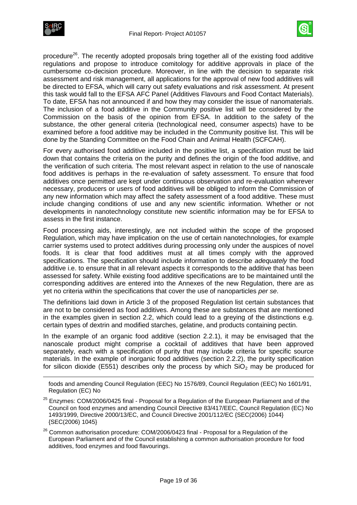



procedure<sup>26</sup>. The recently adopted proposals bring together all of the existing food additive regulations and propose to introduce comitology for additive approvals in place of the cumbersome co-decision procedure. Moreover, in line with the decision to separate risk assessment and risk management, all applications for the approval of new food additives will be directed to EFSA, which will carry out safety evaluations and risk assessment. At present this task would fall to the EFSA AFC Panel (Additives Flavours and Food Contact Materials). To date, EFSA has not announced if and how they may consider the issue of nanomaterials. The inclusion of a food additive in the Community positive list will be considered by the Commission on the basis of the opinion from EFSA. In addition to the safety of the substance, the other general criteria (technological need, consumer aspects) have to be examined before a food additive may be included in the Community positive list. This will be done by the Standing Committee on the Food Chain and Animal Health (SCFCAH).

For every authorised food additive included in the positive list, a specification must be laid down that contains the criteria on the purity and defines the origin of the food additive, and the verification of such criteria. The most relevant aspect in relation to the use of nanoscale food additives is perhaps in the re-evaluation of safety assessment. To ensure that food additives once permitted are kept under continuous observation and re-evaluation wherever necessary, producers or users of food additives will be obliged to inform the Commission of any new information which may affect the safety assessment of a food additive. These must include changing conditions of use and any new scientific information. Whether or not developments in nanotechnology constitute new scientific information may be for EFSA to assess in the first instance.

Food processing aids, interestingly, are not included within the scope of the proposed Regulation, which may have implication on the use of certain nanotechnologies, for example carrier systems used to protect additives during processing only under the auspices of novel foods. It is clear that food additives must at all times comply with the approved specifications. The specification should include information to describe *adequately* the food additive i.e. to ensure that in all relevant aspects it corresponds to the additive that has been assessed for safety. While existing food additive specifications are to be maintained until the corresponding additives are entered into the Annexes of the new Regulation, there are as yet no criteria within the specifications that cover the use of nanoparticles *per se*.

The definitions laid down in Article 3 of the proposed Regulation list certain substances that are not to be considered as food additives. Among these are substances that are mentioned in the examples given in section 2.2, which could lead to a greying of the distinctions e.g. certain types of dextrin and modified starches, gelatine, and products containing pectin.

In the example of an organic food additive (section 2.2.1), it may be envisaged that the nanoscale product might comprise a cocktail of additives that have been approved separately, each with a specification of purity that may include criteria for specific source materials. In the example of inorganic food additives (section 2.2.2), the purity specification for silicon dioxide (E551) describes only the process by which  $SiO<sub>2</sub>$  may be produced for

foods and amending Council Regulation (EEC) No 1576/89, Council Regulation (EEC) No 1601/91, Regulation (EC) No

- <sup>25</sup> Enzymes: COM/2006/0425 final Proposal for a Regulation of the European Parliament and of the Council on food enzymes and amending Council Directive 83/417/EEC, Council Regulation (EC) No 1493/1999, Directive 2000/13/EC, and Council Directive 2001/112/EC {SEC(2006) 1044} {SEC(2006) 1045}
- <sup>26</sup> Common authorisation procedure: COM/2006/0423 final Proposal for a Regulation of the European Parliament and of the Council establishing a common authorisation procedure for food additives, food enzymes and food flavourings.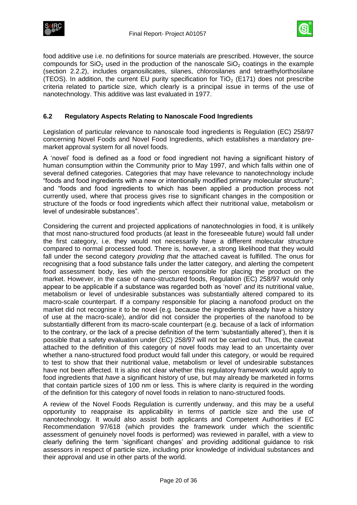



food additive use i.e. no definitions for source materials are prescribed. However, the source compounds for  $SiO<sub>2</sub>$  used in the production of the nanoscale  $SiO<sub>2</sub>$  coatings in the example (section 2.2.2), includes organosilicates, silanes, chlorosilanes and tetraethylorthosilane (TEOS). In addition, the current EU purity specification for  $TiO<sub>2</sub>$  (E171) does not prescribe criteria related to particle size, which clearly is a principal issue in terms of the use of nanotechnology. This additive was last evaluated in 1977.

## <span id="page-19-0"></span>**6.2 Regulatory Aspects Relating to Nanoscale Food Ingredients**

Legislation of particular relevance to nanoscale food ingredients is Regulation (EC) 258/97 concerning Novel Foods and Novel Food Ingredients, which establishes a mandatory premarket approval system for all novel foods.

A "novel" food is defined as a food or food ingredient not having a significant history of human consumption within the Community prior to May 1997, and which falls within one of several defined categories. Categories that may have relevance to nanotechnology include "foods and food ingredients with a new or intentionally modified primary molecular structure"; and "foods and food ingredients to which has been applied a production process not currently used, where that process gives rise to significant changes in the composition or structure of the foods or food ingredients which affect their nutritional value, metabolism or level of undesirable substances".

Considering the current and projected applications of nanotechnologies in food, it is unlikely that most nano-structured food products (at least in the foreseeable future) would fall under the first category, i.e. they would not necessarily have a different molecular structure compared to normal processed food. There is, however, a strong likelihood that they would fall under the second category *providing that* the attached caveat is fulfilled. The onus for recognising that a food substance falls under the latter category, and alerting the competent food assessment body, lies with the person responsible for placing the product on the market. However, in the case of nano-structured foods, Regulation (EC) 258/97 would only appear to be applicable if a substance was regarded both as "novel" *and* its nutritional value, metabolism or level of undesirable substances was substantially altered compared to its macro-scale counterpart. If a company responsible for placing a nanofood product on the market did not recognise it to be novel (e.g. because the ingredients already have a history of use at the macro-scale), and/or did not consider the properties of the nanofood to be substantially different from its macro-scale counterpart (e.g. because of a lack of information to the contrary, or the lack of a precise definition of the term "substantially altered"), then it is possible that a safety evaluation under (EC) 258/97 will not be carried out. Thus, the caveat attached to the definition of this category of novel foods may lead to an uncertainty over whether a nano-structured food product would fall under this category, or would be required to test to show that their nutritional value, metabolism or level of undesirable substances have not been affected. It is also not clear whether this regulatory framework would apply to food ingredients that *have* a significant history of use, but may already be marketed in forms that contain particle sizes of 100 nm or less. This is where clarity is required in the wording of the definition for this category of novel foods in relation to nano-structured foods.

A review of the Novel Foods Regulation is currently underway, and this may be a useful opportunity to reappraise its applicability in terms of particle size and the use of nanotechnology. It would also assist both applicants and Competent Authorities if EC Recommendation 97/618 (which provides the framework under which the scientific assessment of genuinely novel foods is performed) was reviewed in parallel, with a view to clearly defining the term "significant changes" and providing additional guidance to risk assessors in respect of particle size, including prior knowledge of individual substances and their approval and use in other parts of the world.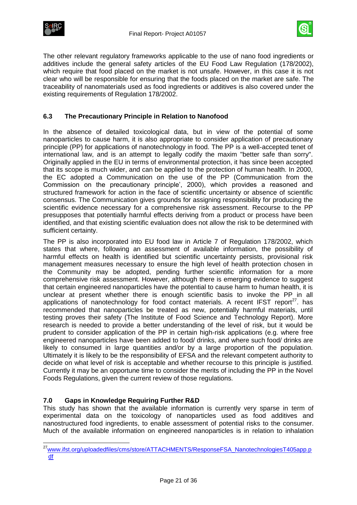



The other relevant regulatory frameworks applicable to the use of nano food ingredients or additives include the general safety articles of the EU Food Law Regulation (178/2002), which require that food placed on the market is not unsafe. However, in this case it is not clear who will be responsible for ensuring that the foods placed on the market are safe. The traceability of nanomaterials used as food ingredients or additives is also covered under the existing requirements of Regulation 178/2002.

## <span id="page-20-0"></span>**6.3 The Precautionary Principle in Relation to Nanofood**

In the absence of detailed toxicological data, but in view of the potential of some nanoparticles to cause harm, it is also appropriate to consider application of precautionary principle (PP) for applications of nanotechnology in food. The PP is a well-accepted tenet of international law, and is an attempt to legally codify the maxim "better safe than sorry". Originally applied in the EU in terms of environmental protection, it has since been accepted that its scope is much wider, and can be applied to the protection of human health. In 2000, the EC adopted a Communication on the use of the PP (Communication from the Commission on the precautionary principle", 2000), which provides a reasoned and structured framework for action in the face of scientific uncertainty or absence of scientific consensus. The Communication gives grounds for assigning responsibility for producing the scientific evidence necessary for a comprehensive risk assessment. Recourse to the PP presupposes that potentially harmful effects deriving from a product or process have been identified, and that existing scientific evaluation does not allow the risk to be determined with sufficient certainty.

The PP is also incorporated into EU food law in Article 7 of Regulation 178/2002, which states that where, following an assessment of available information, the possibility of harmful effects on health is identified but scientific uncertainty persists, provisional risk management measures necessary to ensure the high level of health protection chosen in the Community may be adopted, pending further scientific information for a more comprehensive risk assessment. However, although there is emerging evidence to suggest that certain engineered nanoparticles have the potential to cause harm to human health, it is unclear at present whether there is enough scientific basis to invoke the PP in all applications of nanotechnology for food contact materials. A recent IFST report<sup>27</sup> has recommended that nanoparticles be treated as new, potentially harmful materials, until testing proves their safety (The Institute of Food Science and Technology Report). More research is needed to provide a better understanding of the level of risk, but it would be prudent to consider application of the PP in certain high-risk applications (e.g. where free engineered nanoparticles have been added to food/ drinks, and where such food/ drinks are likely to consumed in large quantities and/or by a large proportion of the population. Ultimately it is likely to be the responsibility of EFSA and the relevant competent authority to decide on what level of risk is acceptable and whether recourse to this principle is justified. Currently it may be an opportune time to consider the merits of including the PP in the Novel Foods Regulations, given the current review of those regulations.

## <span id="page-20-1"></span>**7.0 Gaps in Knowledge Requiring Further R&D**

1

This study has shown that the available information is currently very sparse in term of experimental data on the toxicology of nanoparticles used as food additives and nanostructured food ingredients, to enable assessment of potential risks to the consumer. Much of the available information on engineered nanoparticles is in relation to inhalation

<sup>&</sup>lt;sup>27</sup>[www.ifst.org/uploadedfiles/cms/store/ATTACHMENTS/ResponseFSA\\_NanotechnologiesT405app.p](http://www.ifst.org/uploadedfiles/cms/store/ATTACHMENTS/ResponseFSA_NanotechnologiesT405app.pdf) [df](http://www.ifst.org/uploadedfiles/cms/store/ATTACHMENTS/ResponseFSA_NanotechnologiesT405app.pdf)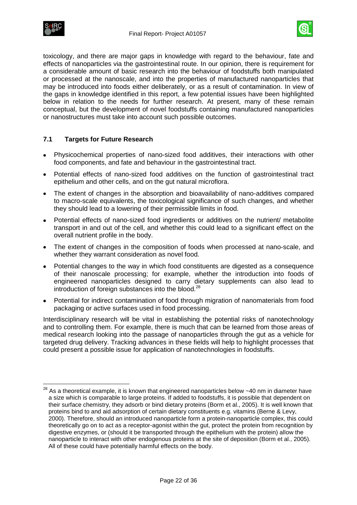



toxicology, and there are major gaps in knowledge with regard to the behaviour, fate and effects of nanoparticles via the gastrointestinal route. In our opinion, there is requirement for a considerable amount of basic research into the behaviour of foodstuffs both manipulated or processed at the nanoscale, and into the properties of manufactured nanoparticles that may be introduced into foods either deliberately, or as a result of contamination. In view of the gaps in knowledge identified in this report, a few potential issues have been highlighted below in relation to the needs for further research. At present, many of these remain conceptual, but the development of novel foodstuffs containing manufactured nanoparticles or nanostructures must take into account such possible outcomes.

## <span id="page-21-0"></span>**7.1 Targets for Future Research**

- Physicochemical properties of nano-sized food additives, their interactions with other food components, and fate and behaviour in the gastrointestinal tract.
- Potential effects of nano-sized food additives on the function of gastrointestinal tract epithelium and other cells, and on the gut natural microflora.
- The extent of changes in the absorption and bioavailability of nano-additives compared to macro-scale equivalents, the toxicological significance of such changes, and whether they should lead to a lowering of their permissible limits in food.
- Potential effects of nano-sized food ingredients or additives on the nutrient/ metabolite transport in and out of the cell, and whether this could lead to a significant effect on the overall nutrient profile in the body.
- The extent of changes in the composition of foods when processed at nano-scale, and whether they warrant consideration as novel food.
- Potential changes to the way in which food constituents are digested as a consequence of their nanoscale processing; for example, whether the introduction into foods of engineered nanoparticles designed to carry dietary supplements can also lead to introduction of foreign substances into the blood.<sup>28</sup>
- Potential for indirect contamination of food through migration of nanomaterials from food packaging or active surfaces used in food processing.

Interdisciplinary research will be vital in establishing the potential risks of nanotechnology and to controlling them. For example, there is much that can be learned from those areas of medical research looking into the passage of nanoparticles through the gut as a vehicle for targeted drug delivery. Tracking advances in these fields will help to highlight processes that could present a possible issue for application of nanotechnologies in foodstuffs.

<sup>1</sup>  $^{28}$  As a theoretical example, it is known that engineered nanoparticles below  $\sim$ 40 nm in diameter have a size which is comparable to large proteins. If added to foodstuffs, it is possible that dependent on their surface chemistry, they adsorb or bind dietary proteins (Borm et al., 2005). It is well known that proteins bind to and aid adsorption of certain dietary constituents e.g. vitamins (Berne & Levy, 2000). Therefore, should an introduced nanoparticle form a protein-nanoparticle complex, this could theoretically go on to act as a receptor-agonist within the gut, protect the protein from recognition by digestive enzymes, or (should it be transported through the epithelium with the protein) allow the nanoparticle to interact with other endogenous proteins at the site of deposition (Borm et al., 2005). All of these could have potentially harmful effects on the body.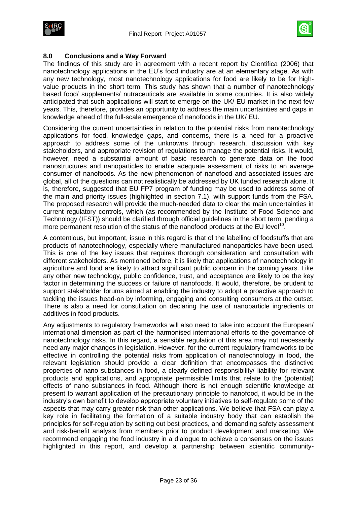



#### <span id="page-22-0"></span>**8.0 Conclusions and a Way Forward**

The findings of this study are in agreement with a recent report by Cientifica (2006) that nanotechnology applications in the EU"s food industry are at an elementary stage. As with any new technology, most nanotechnology applications for food are likely to be for highvalue products in the short term. This study has shown that a number of nanotechnology based food/ supplements/ nutraceuticals are available in some countries. It is also widely anticipated that such applications will start to emerge on the UK/ EU market in the next few years. This, therefore, provides an opportunity to address the main uncertainties and gaps in knowledge ahead of the full-scale emergence of nanofoods in the UK/ EU.

Considering the current uncertainties in relation to the potential risks from nanotechnology applications for food, knowledge gaps, and concerns, there is a need for a proactive approach to address some of the unknowns through research, discussion with key stakeholders, and appropriate revision of regulations to manage the potential risks. It would, however, need a substantial amount of basic research to generate data on the food nanostructures and nanoparticles to enable adequate assessment of risks to an average consumer of nanofoods. As the new phenomenon of nanofood and associated issues are global, all of the questions can not realistically be addressed by UK funded research alone. It is, therefore, suggested that EU FP7 program of funding may be used to address some of the main and priority issues (highlighted in section 7.1), with support funds from the FSA. The proposed research will provide the much-needed data to clear the main uncertainties in current regulatory controls, which (as recommended by the Institute of Food Science and Technology (IFST)) should be clarified through official guidelines in the short term, pending a more permanent resolution of the status of the nanofood products at the EU level<sup>[10](#page-6-0)</sup>.

A contentious, but important, issue in this regard is that of the labelling of foodstuffs that are products of nanotechnology, especially where manufactured nanoparticles have been used. This is one of the key issues that requires thorough consideration and consultation with different stakeholders. As mentioned before, it is likely that applications of nanotechnology in agriculture and food are likely to attract significant public concern in the coming years. Like any other new technology, public confidence, trust, and acceptance are likely to be the key factor in determining the success or failure of nanofoods. It would, therefore, be prudent to support stakeholder forums aimed at enabling the industry to adopt a proactive approach to tackling the issues head-on by informing, engaging and consulting consumers at the outset. There is also a need for consultation on declaring the use of nanoparticle ingredients or additives in food products.

Any adjustments to regulatory frameworks will also need to take into account the European/ international dimension as part of the harmonised international efforts to the governance of nanotechnology risks. In this regard, a sensible regulation of this area may not necessarily need any major changes in legislation. However, for the current regulatory frameworks to be effective in controlling the potential risks from application of nanotechnology in food, the relevant legislation should provide a clear definition that encompasses the distinctive properties of nano substances in food, a clearly defined responsibility/ liability for relevant products and applications, and appropriate permissible limits that relate to the (potential) effects of nano substances in food. Although there is not enough scientific knowledge at present to warrant application of the precautionary principle to nanofood, it would be in the industry"s own benefit to develop appropriate voluntary initiatives to self-regulate some of the aspects that may carry greater risk than other applications. We believe that FSA can play a key role in facilitating the formation of a suitable industry body that can establish the principles for self-regulation by setting out best practices, and demanding safety assessment and risk-benefit analysis from members prior to product development and marketing. We recommend engaging the food industry in a dialogue to achieve a consensus on the issues highlighted in this report, and develop a partnership between scientific community-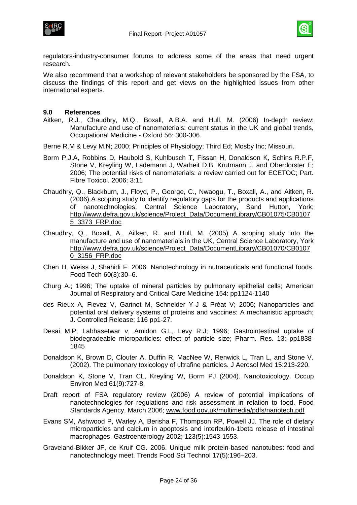



regulators-industry-consumer forums to address some of the areas that need urgent research.

We also recommend that a workshop of relevant stakeholders be sponsored by the FSA, to discuss the findings of this report and get views on the highlighted issues from other international experts.

#### <span id="page-23-0"></span>**9.0 References**

- Aitken, R.J., Chaudhry, M.Q., Boxall, A.B.A. and Hull, M. (2006) In-depth review: Manufacture and use of nanomaterials: current status in the UK and global trends, Occupational Medicine - Oxford 56: 300-306.
- Berne R.M & Levy M.N; 2000; Principles of Physiology; Third Ed; Mosby Inc; Missouri.
- Borm P.J.A, Robbins D, Haubold S, Kuhlbusch T, Fissan H, Donaldson K, Schins R.P.F, Stone V, Kreyling W, Lademann J, Warheit D.B, Krutmann J. and Oberdorster E; 2006; The potential risks of nanomaterials: a review carried out for ECETOC; Part. Fibre Toxicol. 2006; 3:11
- Chaudhry, Q., Blackburn, J., Floyd, P., George, C., Nwaogu, T., Boxall, A., and Aitken, R. (2006) A scoping study to identify regulatory gaps for the products and applications of nanotechnologies, Central Science Laboratory, Sand Hutton, York; [http://www.defra.gov.uk/science/Project\\_Data/DocumentLibrary/CB01075/CB0107](http://www.defra.gov.uk/science/Project_Data/DocumentLibrary/CB01075/CB01075_3373_FRP.doc) 5\_3373\_FRP.doc
- Chaudhry, Q., Boxall, A., Aitken, R. and Hull, M. (2005) A scoping study into the manufacture and use of nanomaterials in the UK, Central Science Laboratory, York [http://www.defra.gov.uk/science/Project\\_Data/DocumentLibrary/CB01070/CB0107](http://www.defra.gov.uk/science/Project_Data/DocumentLibrary/CB01070/CB01070_3156_FRP.doc) [0\\_3156\\_FRP.doc](http://www.defra.gov.uk/science/Project_Data/DocumentLibrary/CB01070/CB01070_3156_FRP.doc)
- Chen H, Weiss J, Shahidi F. 2006. Nanotechnology in nutraceuticals and functional foods. Food Tech 60(3):30–6.
- Churg A.; 1996; The uptake of mineral particles by pulmonary epithelial cells; American Journal of Respiratory and Critical Care Medicine 154: pp1124-1140
- des Rieux A, Fievez V, Garinot M, Schneider Y-J & Préat V; 2006; Nanoparticles and potential oral delivery systems of proteins and vaccines: A mechanistic approach; J. Controlled Release; 116 pp1-27.
- Desai M.P, Labhasetwar v, Amidon G.L, Levy R.J; 1996; Gastrointestinal uptake of biodegradeable microparticles: effect of particle size; Pharm. Res. 13: pp1838- 1845
- Donaldson K, Brown D, Clouter A, Duffin R, MacNee W, Renwick L, Tran L, and Stone V. (2002). The pulmonary toxicology of ultrafine particles. J Aerosol Med 15:213-220.
- Donaldson K, Stone V, Tran CL, Kreyling W, Borm PJ (2004). Nanotoxicology. Occup Environ Med 61(9):727-8.
- Draft report of FSA regulatory review (2006) A review of potential implications of nanotechnologies for regulations and risk assessment in relation to food. Food Standards Agency, March 2006; [www.food.gov.uk/multimedia/pdfs/nanotech.pdf](http://www.food.gov.uk/multimedia/pdfs/nanotech.pdf)
- Evans SM, Ashwood P, Warley A, Berisha F, Thompson RP, Powell JJ. The role of dietary microparticles and calcium in apoptosis and interleukin-1beta release of intestinal macrophages. Gastroenterology 2002; 123(5):1543-1553.
- Graveland-Bikker JF, de Kruif CG. 2006. Unique milk protein-based nanotubes: food and nanotechnology meet. Trends Food Sci Technol 17(5):196–203.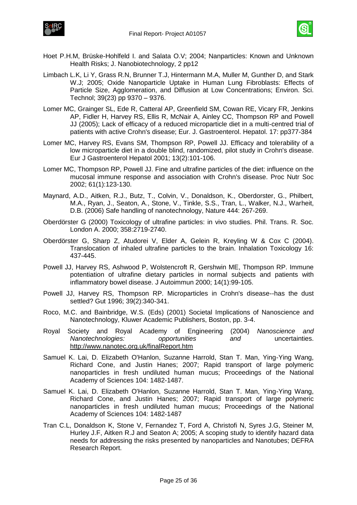



- Hoet P.H.M, Brüske-Hohlfeld I. and Salata O.V; 2004; Nanparticles: Known and Unknown Health Risks; J. Nanobiotechnology, 2 pp12
- Limbach L.K, Li Y, Grass R.N, Brunner T.J, Hintermann M.A, Muller M, Gunther D, and Stark W.J; 2005; Oxide Nanoparticle Uptake in Human Lung Fibroblasts: Effects of Particle Size, Agglomeration, and Diffusion at Low Concentrations; Environ. Sci. Technol; 39(23) pp 9370 – 9376.
- Lomer MC, Grainger SL, Ede R, Catteral AP, Greenfield SM, Cowan RE, Vicary FR, Jenkins AP, Fidler H, Harvey RS, Ellis R, McNair A, Ainley CC, Thompson RP and Powell JJ (2005); Lack of efficacy of a reduced microparticle diet in a multi-centred trial of patients with active Crohn's disease; Eur. J. Gastroenterol. Hepatol. 17: pp377-384
- Lomer MC, Harvey RS, Evans SM, Thompson RP, Powell JJ. Efficacy and tolerability of a low microparticle diet in a double blind, randomized, pilot study in Crohn's disease. Eur J Gastroenterol Hepatol 2001; 13(2):101-106.
- Lomer MC, Thompson RP, Powell JJ. Fine and ultrafine particles of the diet: influence on the mucosal immune response and association with Crohn's disease. Proc Nutr Soc 2002; 61(1):123-130.
- Maynard, A.D., Aitken, R.J., Butz, T., Colvin, V., Donaldson, K., Oberdorster, G., Philbert, M.A., Ryan, J., Seaton, A., Stone, V., Tinkle, S.S., Tran, L., Walker, N.J., Warheit, D.B. (2006) Safe handling of nanotechnology, Nature 444: 267-269.
- Oberdörster G (2000) Toxicology of ultrafine particles: in vivo studies. Phil. Trans. R. Soc. London A. 2000; 358:2719-2740.
- Oberdörster G, Sharp Z, Atudorei V, Elder A, Gelein R, Kreyling W & Cox C (2004). Translocation of inhaled ultrafine particles to the brain. Inhalation Toxicology 16: 437-445.
- Powell JJ, Harvey RS, Ashwood P, Wolstencroft R, Gershwin ME, Thompson RP. Immune potentiation of ultrafine dietary particles in normal subjects and patients with inflammatory bowel disease. J Autoimmun 2000; 14(1):99-105.
- Powell JJ, Harvey RS, Thompson RP. Microparticles in Crohn's disease--has the dust settled? Gut 1996; 39(2):340-341.
- Roco, M.C. and Bainbridge, W.S. (Eds) (2001) Societal Implications of Nanoscience and Nanotechnology, Kluwer Academic Publishers, Boston, pp. 3-4.
- Royal Society and Royal Academy of Engineering (2004) *Nanoscience and Nanotechnologies: opportunities and* uncertainties. <http://www.nanotec.org.uk/finalReport.htm>
- Samuel K. Lai, D. Elizabeth O'Hanlon, Suzanne Harrold, Stan T. Man, Ying-Ying Wang, Richard Cone, and Justin Hanes; 2007; Rapid transport of large polymeric nanoparticles in fresh undiluted human mucus; Proceedings of the National Academy of Sciences 104: 1482-1487.
- Samuel K. Lai, D. Elizabeth O'Hanlon, Suzanne Harrold, Stan T. Man, Ying-Ying Wang, Richard Cone, and Justin Hanes; 2007; Rapid transport of large polymeric nanoparticles in fresh undiluted human mucus; Proceedings of the National Academy of Sciences 104: 1482-1487
- Tran C.L, Donaldson K, Stone V, Fernandez T, Ford A, Christofi N, Syres J.G, Steiner M, Hurley J.F, Aitken R.J and Seaton A; 2005; A scoping study to identify hazard data needs for addressing the risks presented by nanoparticles and Nanotubes; DEFRA Research Report.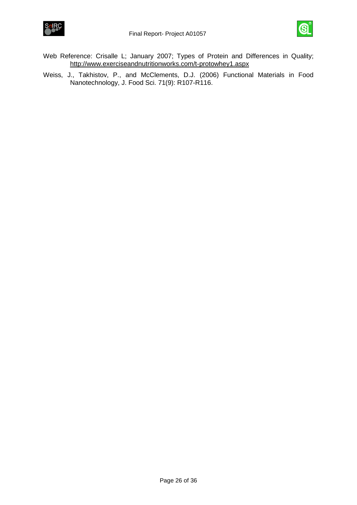



- Web Reference: Crisalle L; January 2007; Types of Protein and Differences in Quality; <http://www.exerciseandnutritionworks.com/t-protowhey1.aspx>
- Weiss, J., Takhistov, P., and McClements, D.J. (2006) Functional Materials in Food Nanotechnology, J. Food Sci. 71(9): R107-R116.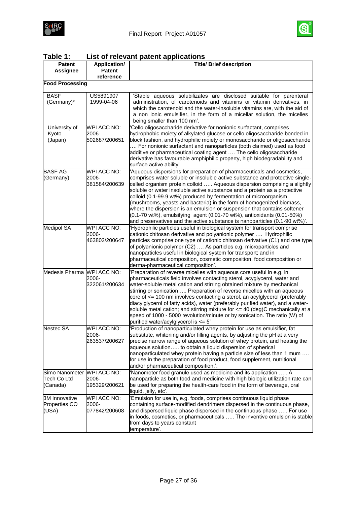



<span id="page-26-0"></span>

| Table 1:<br>List of relevant patent applications |
|--------------------------------------------------|
|--------------------------------------------------|

| Patent                                                | <b>Application/</b>                          | <b>Title/ Brief description</b>                                                                                                                                                                                                                                                                                                                                                                                                                                                                                                                                                                                                                                                                  |
|-------------------------------------------------------|----------------------------------------------|--------------------------------------------------------------------------------------------------------------------------------------------------------------------------------------------------------------------------------------------------------------------------------------------------------------------------------------------------------------------------------------------------------------------------------------------------------------------------------------------------------------------------------------------------------------------------------------------------------------------------------------------------------------------------------------------------|
| <b>Assignee</b>                                       | <b>Patent</b><br>reference                   |                                                                                                                                                                                                                                                                                                                                                                                                                                                                                                                                                                                                                                                                                                  |
| <b>Food Processing</b>                                |                                              |                                                                                                                                                                                                                                                                                                                                                                                                                                                                                                                                                                                                                                                                                                  |
| <b>BASF</b><br>(Germany)*                             | US5891907<br>1999-04-06                      | 'Stable aqueous solubilizates are disclosed suitable for parenteral<br>administration, of carotenoids and vitamins or vitamin derivatives, in<br>which the carotenoid and the water-insoluble vitamins are, with the aid of<br>a non ionic emulsifier, in the form of a micellar solution, the micelles<br>being smaller than 100 nm'.                                                                                                                                                                                                                                                                                                                                                           |
| University of<br>Kyoto<br>(Japan)                     | WPI ACC NO:<br>2006-<br>502687/200651        | Cello oligosaccharide derivative for nonionic surfactant, comprises<br>hydrophobic moiety of alkylated glucose or cello oligosaccharide bonded in<br>block fashion, and hydrophilic moiety or monosaccharide or oligosaccharide<br>For nonionic surfactant and nanoparticles (both claimed) used as food<br>additive or pharmaceutical coating agent  The cello oligosaccharide<br>derivative has favourable amphiphilic property, high biodegradability and<br>surface active ability'                                                                                                                                                                                                          |
| <b>BASF AG</b><br>(Germany)                           | WPI ACC NO:<br>2006-<br>381584/200639        | 'Aqueous dispersions for preparation of pharmaceuticals and cosmetics,<br>comprises water soluble or insoluble active substance and protective single-<br>celled organism protein colloid  Aqueous dispersion comprising a slightly<br>soluble or water insoluble active substance and a protein as a protective<br>colloid (0.1-99.9 wt%) produced by fermentation of microorganism<br>(mushrooms, yeasts and bacteria) in the form of homogenized biomass,<br>where the dispersion is an emulsion or suspension that contains softener<br>(0.1-70 wt%), emulsifying agent (0.01-70 wt%), antioxidants (0.01-50%)<br>and preservatives and the active substance is nanoparticles (0.1-90 wt%)'. |
| <b>Medipol SA</b>                                     | WPI ACC NO:<br>2006-<br>463802/200647        | 'Hydrophilic particles useful in biological system for transport comprise<br>cationic chitosan derivative and polyanionic polymer  Hydrophilic<br>particles comprise one type of cationic chitosan derivative (C1) and one type<br>of polyanionic polymer (C2)  As particles e.g. microparticles and<br>nanoparticles useful in biological system for transport; and in<br>pharmaceutical composition, cosmetic composition, food composition or<br>derma-pharmaceutical composition'.                                                                                                                                                                                                           |
| Medesis Pharma WPI ACC NO:                            | 2006-<br>322061/200634                       | Preparation of reverse micelles with aqueous core useful in e.g. in<br>pharmaceuticals field involves contacting sterol, acyglycerol, water and<br>water-soluble metal cation and stirring obtained mixture by mechanical<br>stirring or sonication Preparation of reverse micelles with an aqueous<br>core of <= 100 nm involves contacting a sterol, an acylglycerol (preferably<br>diacylglycerol of fatty acids), water (preferably purified water), and a water-<br>soluble metal cation; and stirring mixture for $\leq$ 40 (deg)C mechanically at a<br>speed of 1000 - 5000 revolution/minute or by sonication. The ratio (W) of<br>purified water/acylglycerol is <= 5'                  |
| Nestec SA                                             | <b>WPI ACC NO:</b><br>2006-<br>263537/200627 | 'Production of nanoparticulated whey protein for use as emulsifier, fat<br>substitute, whitening and/or filling agents, by adjusting the pH at a very<br>precise narrow range of aqueous solution of whey protein, and heating the<br>aqueous solution to obtain a liquid dispersion of spherical<br>nanoparticulated whey protein having a particle size of less than 1 mum<br>for use in the preparation of food product, food supplement, nutritional<br>and/or pharmaceutical composition.'.                                                                                                                                                                                                 |
| Simo Nanometer WPI ACC NO:<br>Tech Co Ltd<br>(Canada) | 2006-<br>195329/200621                       | 'Nanometer food granule used as medicine and its application  A<br>nanoparticle as both food and medicine with high biologic utilization rate can<br>be used for preparing the health-care food in the form of beverage, oral<br>liquid, jelly, etc'.                                                                                                                                                                                                                                                                                                                                                                                                                                            |
| 3M Innovative<br>Properties CO<br>(USA)               | WPI ACC NO:<br>2006-<br>077842/200608        | 'Emulsion for use in, e.g. foods, comprises continuous liquid phase<br>containing surface-modified dendrimers dispersed in the continuous phase,<br>and dispersed liquid phase dispersed in the continuous phase  For use<br>in foods, cosmetics, or pharmaceuticals  The inventive emulsion is stable<br>from days to years constant<br>temperature'.                                                                                                                                                                                                                                                                                                                                           |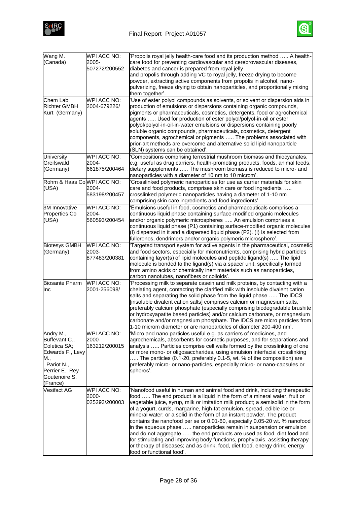



| Wang M.<br>(Canada)                                                                                                                  | WPI ACC NO:<br>2005-<br>507272/200552        | 'Propolis royal jelly health-care food and its production method  A health-<br>care food for preventing cardiovascular and cerebrovascular diseases,<br>diabetes and cancer is prepared from royal jelly<br>and propolis through adding VC to royal jelly, freeze drying to become<br>powder, extracting active components from propolis in alcohol, nano-<br>pulverizing, freeze drying to obtain nanoparticles, and proportionally mixing<br>them together'.                                                                                                                                                                                                                                                                                                                                                               |
|--------------------------------------------------------------------------------------------------------------------------------------|----------------------------------------------|------------------------------------------------------------------------------------------------------------------------------------------------------------------------------------------------------------------------------------------------------------------------------------------------------------------------------------------------------------------------------------------------------------------------------------------------------------------------------------------------------------------------------------------------------------------------------------------------------------------------------------------------------------------------------------------------------------------------------------------------------------------------------------------------------------------------------|
| Chem Lab<br><b>Richter GMBH</b><br>Kurt (Germany)                                                                                    | <b>WPI ACC NO:</b><br>2004-679226/           | 'Use of ester polyol compounds as solvents, or solvent or dispersion aids in<br>production of emulsions or dispersions containing organic compounds,<br>pigments or pharmaceuticals, cosmetics, detergents, food or agrochemical<br>agents  Used for production of ester polyol/polyol-in-oil or ester<br>polyol/polyol-in-oil-in-water emulsions or dispersions containing poorly<br>soluble organic compounds, pharmaceuticals, cosmetics, detergent<br>components, agrochemical or pigments  The problems associated with<br>prior-art methods are overcome and alternative solid lipid nanoparticle<br>(SLN) systems can be obtained'.                                                                                                                                                                                   |
| <b>University</b><br>Greifswald<br>(Germany)                                                                                         | WPI ACC NO:<br>2004-<br>661875/200464        | 'Compositions comprising terrestrial mushroom biomass and thiocyanates,<br>e.g. useful as drug carriers, health-promoting products, foods, animal feeds,<br>dietary supplements  The mushroom biomass is reduced to micro- and<br>nanoparticles with a diameter of 10 nm to 10 microm'.                                                                                                                                                                                                                                                                                                                                                                                                                                                                                                                                      |
| Rohm & Haas CoWPI ACC NO:<br>(USA)                                                                                                   | 2004-<br>583198/200457                       | 'Crosslinked polymeric nanoparticles for use as carrier materials for skin<br>care and food products, comprises skin care or food ingredients<br>crosslinked polymeric nanoparticles having a diameter of 1-10 nm<br>comprising skin care ingredients and food ingredients'                                                                                                                                                                                                                                                                                                                                                                                                                                                                                                                                                  |
| 3M Innovative<br>Properties Co<br>(USA)                                                                                              | <b>WPI ACC NO:</b><br>2004-<br>560593/200454 | 'Emulsions useful in food, cosmetics and pharmaceuticals comprises a<br>continuous liquid phase containing surface-modified organic molecules<br>and/or organic polymeric microspheres  An emulsion comprises a<br>continuous liquid phase (P1) containing surface-modified organic molecules<br>(I) dispersed in it and a dispersed liquid phase (P2). (I) Is selected from<br>fullerenes, dendrimers and/or organic polymeric microsphere'.                                                                                                                                                                                                                                                                                                                                                                                |
| <b>Biotesys GMBH</b><br>(Germany)                                                                                                    | <b>WPI ACC NO:</b><br>2003-<br>877483/200381 | Targeted transport system for active agents in the pharmaceutical, cosmetic<br>and food sectors, especially for micronutrients, comprising hybrid particles<br>containing layer(s) of lipid molecules and peptide ligand(s)  The lipid<br>molecule is bonded to the ligand(s) via a spacer unit, specifically formed<br>from amino acids or chemically inert materials such as nanoparticles,<br>carbon nanotubes, nanofibers or colloids'.                                                                                                                                                                                                                                                                                                                                                                                  |
| <b>Biosante Pharm</b><br>Inc                                                                                                         | <b>WPI ACC NO:</b><br>2001-256098/           | 'Processing milk to separate casein and milk proteins, by contacting with a<br>chelating agent, contacting the clarified milk with insoluble divalent cation<br>salts and separating the solid phase from the liquid phase  The IDCS<br>[insoluble divalent cation salts] comprises calcium or magnesium salts,<br>preferably calcium phosphate (especially comprising biodegradable brushite<br>or hydroxyapatite based particles) and/or calcium carbonate, or magnesium<br>carbonate and/or magnesium phosphate. The IDCS are micro particles from<br>1-10 microm diameter or are nanoparticles of diameter 200-400 nm'.                                                                                                                                                                                                  |
| Andry M.,<br>Buffevant C.,<br>Coletica SA;<br>Edwards F., Levy<br>Μ.,<br>Pariot N.,<br>Perrier E., Rey-<br>Goutenoire S.<br>(France) | WPI ACC NO:<br>2000-<br>163212/200015        | 'Micro and nano particles useful e.g. as carriers of medicines, and<br>agrochemicals, absorbents for cosmetic purposes, and for separations and<br>analysis  Particles comprise cell walls formed by the crosslinking of one<br>or more mono- or oligosaccharides, using emulsion interfacial crosslinking<br>The particles (0.1-20, preferably 0.1-5, wt. % of the composition) are<br>preferably micro- or nano-particles, especially micro- or nano-capsules or<br>spheres'.                                                                                                                                                                                                                                                                                                                                              |
| <b>Vesifact AG</b>                                                                                                                   | WPI ACC NO:<br>2000-<br>025293/200003        | Nanofood useful in human and animal food and drink, including therapeutic<br>food  The end product is a liquid in the form of a mineral water, fruit or<br>vegetable juice, syrup, milk or imitation milk product; a semisolid in the form<br>of a yogurt, curds, margarine, high-fat emulsion, spread, edible ice or<br>mineral water; or a solid in the form of an instant powder. The product<br>contains the nanofood per se or 0.01-60, especially 0.05-20 wt. % nanofood<br>in the aqueous phase  nanoparticles remain in suspension or emulsion<br>and do not aggregate  the end products are used as food, diet food and<br>for stimulating and improving body functions, prophylaxis, assisting therapy<br>or therapy of diseases; and as drink, food, diet food, energy drink, energy<br>food or functional food'. |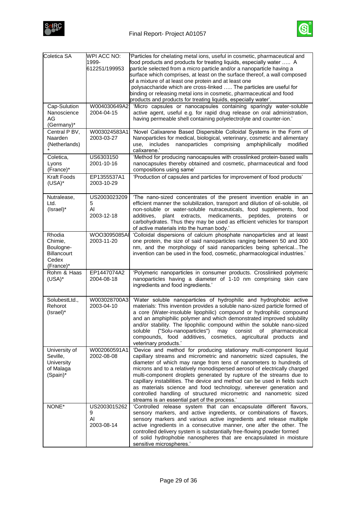



| Coletica SA                                                                | <b>WPI ACC NO:</b><br>1999-<br>612251/199953 | 'Particles for chelating metal ions, useful in cosmetic, pharmaceutical and<br>food products and products for treating liquids, especially water  A<br>particle selected from a micro particle and/or a nanoparticle having a<br>surface which comprises, at least on the surface thereof, a wall composed<br>of a mixture of at least one protein and at least one<br>polysaccharide which are cross-linked  The particles are useful for<br>binding or releasing metal ions in cosmetic, pharmaceutical and food<br>products and products for treating liquids, especially water'.                                                          |
|----------------------------------------------------------------------------|----------------------------------------------|-----------------------------------------------------------------------------------------------------------------------------------------------------------------------------------------------------------------------------------------------------------------------------------------------------------------------------------------------------------------------------------------------------------------------------------------------------------------------------------------------------------------------------------------------------------------------------------------------------------------------------------------------|
| Cap-Sulution<br>Nanoscience<br>AG<br>(Germany)*                            | W004030649A2<br>2004-04-15                   | 'Micro capsules or nanocapsules containing sparingly water-soluble<br>active agent, useful e.g. for rapid drug release on oral administration,<br>having permeable shell containing polyelectrolyte and counter-ion.'                                                                                                                                                                                                                                                                                                                                                                                                                         |
| Central P BV,<br>Naarden<br>(Netherlands)                                  | W003024583A1<br>2003-03-27                   | 'Novel Calixarene Based Dispersible Colloidal Systems in the Form of<br>Nanoparticles for medical, biological, veterinary, cosmetic and alimentary<br>nanoparticles comprising amphiphilically<br>includes<br>modified<br>use,<br>calixarene.'                                                                                                                                                                                                                                                                                                                                                                                                |
| Coletica,<br>Lyons<br>(France)*                                            | US6303150<br>2001-10-16                      | 'Method for producing nanocapsules with crosslinked protein-based walls<br>nanocapsules thereby obtained and cosmetic, pharmaceutical and food<br>compositions using same'                                                                                                                                                                                                                                                                                                                                                                                                                                                                    |
| Kraft Foods<br>$(USA)^*$                                                   | EP1355537A1<br>2003-10-29                    | 'Production of capsules and particles for improvement of food products'                                                                                                                                                                                                                                                                                                                                                                                                                                                                                                                                                                       |
| Nutralease,<br>Ltd.<br>(Israel)*                                           | US2003023209<br>5<br>Al<br>2003-12-18        | 'The nano-sized concentrates of the present invention enable in an<br>efficient manner the solubilization, transport and dilution of oil-soluble, oil<br>non-soluble or water-soluble nutraceuticals, food supplements, food<br>additives,<br>plant<br>extracts,<br>medicaments,<br>peptides,<br>proteins<br>or<br>carbohydrates. Thus they may be used as efficient vehicles for transport<br>of active materials into the human body.'                                                                                                                                                                                                      |
| Rhodia<br>Chimie,<br>Boulogne-<br><b>Billancourt</b><br>Cedex<br>(France)* | WOO3095085AI<br>2003-11-20                   | 'Colloidal dispersions of calcium phosphate nanoparticles and at least<br>one protein, the size of said nanoparticles ranging between 50 and 300<br>nm, and the morphology of said nanoparticles being sphericalThe<br>invention can be used in the food, cosmetic, pharmacological industries.'                                                                                                                                                                                                                                                                                                                                              |
| Rohm & Haas<br>$(USA)^*$                                                   | EP1447074A2<br>2004-08-18                    | 'Polymeric nanoparticles in consumer products. Crosslinked polymeric<br>nanoparticles having a diameter of 1-10 nm comprising skin care<br>ingredients and food ingredients.'                                                                                                                                                                                                                                                                                                                                                                                                                                                                 |
| SolubestLtd.,<br>Rehorot<br>(Israel)*                                      | W003028700A3<br>2003-04-10                   | 'Water soluble nanoparticles of hydrophilic and hydrophobic active<br>materials: This invention provides a soluble nano-sized particle formed of<br>a core (Water-insoluble lipophilic) compound or hydrophilic compound<br>and an amphiphilic polymer and which demonstrated improved solubility<br>and/or stability. The lipophilic compound within the soluble nano-sized<br>("Solu-nanoparticles") may<br>consist<br>soluble<br>of<br>pharmaceutical<br>compounds, food additives, cosmetics, agricultural products and<br>veterinary products.'                                                                                          |
| University of<br>Seville,<br>University<br>of Malaga<br>(Spain)*           | W002060591A1<br>2002-08-08                   | 'Device and method for producing stationary multi-component liquid<br>capillary streams and micrometric and nanometric sized capsules, the<br>diameter of which may range from tens of nanometers to hundreds of<br>microns and to a relatively monodispersed aerosol of electrically charged<br>multi-component droplets generated by rupture of the streams due to<br>capillary instabilities. The device and method can be used in fields such<br>as materials science and food technology, wherever generation and<br>controlled handling of structured micrometric and nanometric sized<br>streams is an essential part of the process.' |
| NONE*                                                                      | US2003015262<br>9<br>Al<br>2003-08-14        | 'Controlled release system that can encapsulate different flavors,<br>sensory markers, and active ingredients, or combinations of flavors,<br>sensory markers and various active ingredients and release multiple<br>active ingredients in a consecutive manner, one after the other. The<br>controlled delivery system is substantially free-flowing powder formed<br>of solid hydrophobie nanospheres that are encapsulated in moisture<br>sensitive microspheres.'                                                                                                                                                                         |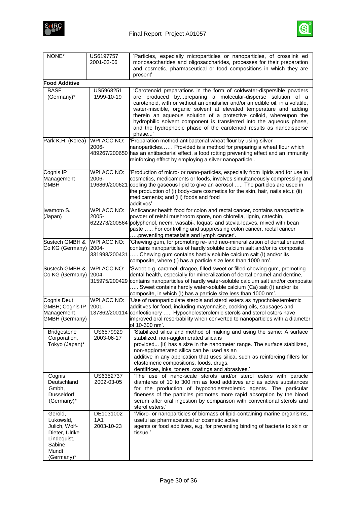



| NONE*                                                                                                   | US6197757<br>2001-03-06               | 'Particles, especially microparticles or nanoparticles, of crosslink ed<br>monosaccharides and oligosaccharides, processes for their preparation<br>and cosmetic, pharmaceutical or food compositions in which they are<br>present'                                                                                                                                                                                                                                                                                         |
|---------------------------------------------------------------------------------------------------------|---------------------------------------|-----------------------------------------------------------------------------------------------------------------------------------------------------------------------------------------------------------------------------------------------------------------------------------------------------------------------------------------------------------------------------------------------------------------------------------------------------------------------------------------------------------------------------|
| <b>Food Additive</b>                                                                                    |                                       |                                                                                                                                                                                                                                                                                                                                                                                                                                                                                                                             |
| <b>BASF</b><br>(Germany)*                                                                               | US5968251<br>1999-10-19               | 'Carotenoid preparations in the form of coldwater-dispersible powders<br>are produced bypreparing a molecular-disperse solution of a<br>carotenoid, with or without an emulsifier and/or an edible oil, in a volatile,<br>water-miscible, organic solvent at elevated temperature and adding<br>therein an aqueous solution of a protective colloid, whereupon the<br>hydrophilic solvent component is transferred into the aqueous phase,<br>and the hydrophobic phase of the carotenoid results as nanodisperse<br>phase' |
| Park K.H. (Korea)                                                                                       | WPI ACC NO:<br>2006-                  | Preparation method antibacterial wheat flour by using silver<br>nanoparticles Provided is a method for preparing a wheat flour which<br>489267/200650 has an antibacterial effect, a food rotting preventing effect and an immunity<br>reinforcing effect by employing a silver nanoparticle'.                                                                                                                                                                                                                              |
| Cognis IP<br>Management<br><b>GMBH</b>                                                                  | WPI ACC NO:<br>2006-<br>196869/200621 | 'Production of micro- or nano-particles, especially from lipids and for use in<br>cosmetics, medicaments or foods, involves simultaneously compressing and<br>cooling the gaseous lipid to give an aerosol  The particles are used in<br>the production of (i) body-care cosmetics for the skin, hair, nails etc.); (ii)<br>medicaments; and (iii) foods and food<br>additives'                                                                                                                                             |
| Iwamoto S.<br>(Japan)                                                                                   | WPI ACC NO:<br>2005-                  | 'Anticancer health food for colon and rectal cancer, contains nanoparticle<br>powder of reishi mushroom spore, non chlorella, lignin, catechin,<br>622273/200564 polyphenol, neem, wasabi-, loquat- and stevia-leaves, mixed with bean<br>paste  For controlling and suppressing colon cancer, rectal cancer<br>preventing metastatis and lymph cancer'.                                                                                                                                                                    |
| Sustech GMBH &<br>Co KG (Germany)                                                                       | WPI ACC NO:<br>2004-<br>331998/200431 | Chewing gum, for promoting re- and neo-mineralization of dental enamel,<br>contains nanoparticles of hardly soluble calcium salt and/or its composite<br>Chewing gum contains hardly soluble calcium salt (I) and/or its<br>composite, where (I) has a particle size less than 1000 nm'.                                                                                                                                                                                                                                    |
| Sustech GMBH &<br>Co KG (Germany)                                                                       | WPI ACC NO:<br>2004-                  | 'Sweet e.g. caramel, dragee, filled sweet or filled chewing gum, promoting<br>dental health, especially for mineralization of dental enamel and dentine,<br>315975/200429 contains nanoparticles of hardly water-soluble calcium salt and/or composite<br>Sweet contains hardly water-soluble calcium (Ca) salt (I) and/or its<br>composite, in which (I) has a particle size less than 1000 nm'.                                                                                                                           |
| Cognis Deut<br>GMBH; Cognis IP<br>Management<br>GMBH (Germany)                                          | <b>WPI ACC NO:</b><br>2001-           | Use of nanoparticulate sterols and sterol esters as hypocholesterolemic<br>additives for food, including mayonnaise, cooking oils, sausages and<br>137862/200114 confectionery  Hypocholesterolemic sterols and sterol esters have<br>improved oral resorbability when converted to nanoparticles with a diameter<br>of 10-300 nm'.                                                                                                                                                                                         |
| <b>Bridgestone</b><br>Corporation,<br>Tokyo (Japan)*                                                    | US6579929<br>2003-06-17               | 'Stabilized silica and method of making and using the same: A surface<br>stabilized, non-agglomerated silica is<br>provided [It] has a size in the nanometer range. The surface stabilized,<br>non-agglomerated silica can be used as an<br>additive in any application that uses silica, such as reinforcing fillers for<br>elastomeric compositions, foods, drugs,<br>dentifrices, inks, toners, coatings and abrasives.'                                                                                                 |
| Cognis<br>Deutschland<br>Gmbh,<br>Dusseldorf<br>(Germany)*                                              | US6352737<br>2002-03-05               | 'The use of nano-scale sterols and/or sterol esters with particle<br>diamteres of 10 to 300 nm as food additives and as active substances<br>for the production of hypocholesterolemic agents. The particular<br>fineness of the particles promotes more rapid absorption by the blood<br>serum after oral ingestion by comparison with conventional sterols and<br>sterol esters.'                                                                                                                                         |
| Gerold,<br>Lukowsld,<br>Julich, Wolf-<br>Dieter, Ulrike<br>Lindequist,<br>Sabine<br>Mundt<br>(Germany)* | DE1031002<br>1A1<br>2003-10-23        | 'Micro- or nanoparticles of biomass of lipid-containing marine organisms,<br>useful as pharmaceutical or cosmetic active<br>agents or food additives, e.g. for preventing binding of bacteria to skin or<br>tissue.'                                                                                                                                                                                                                                                                                                        |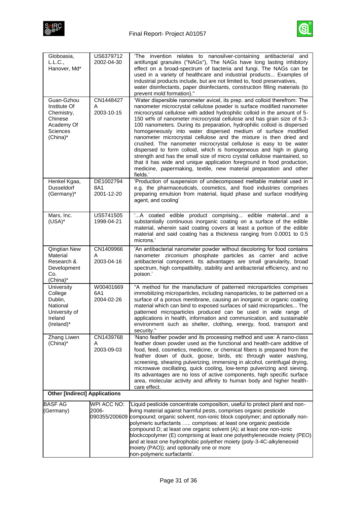



| Globoasia,<br>L.L.C.,<br>Hanover, Md*                                                            | US6379712<br>2002-04-30        | 'The invention relates to nanosilver-containing antibacterial and<br>antifungal granules ("NAGs"), The NAGs have long lasting inhibitory<br>effect on a broad-spectrum of bacteria and fungi. The NAGs can be<br>used in a variety of healthcare and industrial products Examples of<br>industrial products include, but are not limited to, food preservatives,<br>water disinfectants, paper disinfectants, construction filling materials (to<br>prevent mold formation)."                                                                                                                                                                                                                                                                                                                                                                                                                                    |
|--------------------------------------------------------------------------------------------------|--------------------------------|------------------------------------------------------------------------------------------------------------------------------------------------------------------------------------------------------------------------------------------------------------------------------------------------------------------------------------------------------------------------------------------------------------------------------------------------------------------------------------------------------------------------------------------------------------------------------------------------------------------------------------------------------------------------------------------------------------------------------------------------------------------------------------------------------------------------------------------------------------------------------------------------------------------|
| Guan-Gzhou<br>Institute Of<br>Chemistry,<br>Chinese<br>Academy Of<br><b>Sciences</b><br>(China)* | CN1448427<br>A<br>2003-10-15   | 'Water dispersible nanometer avicel, its prep. and colloid therefrom: The<br>nanometer microcrystal cellulose powder is surface modified nanometer<br>microcrystal cellulose with added hydrophilic colloid in the amount of 5-<br>150 wt% of nanometer microcrystal cellulose and has grain size of 6.3-<br>100 nanometers. During its preparation, hydrophilic colloid is dispersed<br>homogeneously into water dispersed medium of surface modified<br>nanometer microcrystal cellulose and the mixture is then dried and<br>crushed. The nanometer microcrystal cellulose is easy to be water<br>dispersed to form colloid, which is homogeneous and high in gluing<br>strength and has the small size of micro crystal cellulose maintained, so<br>that it has wide and unique application foreground in food production,<br>medicine, papermaking, textile, new material preparation and other<br>fields.' |
| Henkel Kgaa,<br><b>Dusseldorf</b><br>(Germany)*                                                  | DE1002794<br>8A1<br>2001-12-20 | 'Production of suspension of undecomposed meltable material used in<br>e.g. the pharmaceuticals, cosmetics, and food industries comprises<br>preparing emulsion from material, liquid phase and surface modifying<br>agent, and cooling'                                                                                                                                                                                                                                                                                                                                                                                                                                                                                                                                                                                                                                                                         |
| Mars, Inc.<br>$(USA)^*$                                                                          | US5741505<br>1998-04-21        | 'A coated edible product comprising edible materialand a<br>substantially continuous inorganic coating on a surface of the edible<br>material, wherein said coating covers at least a portion of the edible<br>material and said coating has a thickness ranging from 0.0001 to 0.5<br>microns.'                                                                                                                                                                                                                                                                                                                                                                                                                                                                                                                                                                                                                 |
| Qingtian New<br>Material<br>Research &<br>Development<br>Co.<br>(China)*                         | CN1409966<br>A<br>2003-04-16   | 'An antibacterial nanometer powder without decoloring for food contains<br>nanometer zirconium phosphate particles as carrier and active<br>antibacterial component. Its advantages are small granularity, broad<br>spectrum, high compatibility, stability and antibacterial efficiency, and no<br>poison.'                                                                                                                                                                                                                                                                                                                                                                                                                                                                                                                                                                                                     |
| University<br>College<br>Dublin,<br>National<br>University of<br>Ireland<br>(Ireland)*           | W00401669<br>6A1<br>2004-02-26 | "A method for the manufacture of patterned microparticles comprises<br>immobilizing microparticles, including nanoparticles, to be patterned on a<br>surface of a porous membrane, causing an inorganic or organic coating<br>material which can bind to exposed surfaces of said microparticles The<br>patterned microparticles produced can be used in wide range of<br>applications in health, information and communication, and sustainable<br>environment such as shelter, clothing, energy, food, transport and<br>security."                                                                                                                                                                                                                                                                                                                                                                             |
| Zhang Liwen<br>(China)*                                                                          | CN1439768<br>A<br>2003-09-03   | 'Nano feather powder and its processing method and use: A nano-class<br>feather down powder used as the functional and health-care additive of<br>food, feed, cosmetics, medicine, or chemical fibers is prepared from the<br>feather down of duck, goose, birds, etc through water washing,<br>screening, shearing pulverizing, immersing in alcohol, centrifugal drying,<br>microwave oscillating, quick cooling, low-temp pulverizing and sieving.<br>Its advantages are no loss of active components, high specific surface<br>area, molecular activity and affinity to human body and higher health-<br>care effect.                                                                                                                                                                                                                                                                                        |
| <b>Other [Indirect] Applications</b>                                                             |                                |                                                                                                                                                                                                                                                                                                                                                                                                                                                                                                                                                                                                                                                                                                                                                                                                                                                                                                                  |
| <b>BASF AG</b><br>(Germany)                                                                      | WPI ACC NO:<br>2006-           | 'Liquid pesticide concentrate composition, useful to protect plant and non-<br>living material against harmful pests, comprises organic pesticide<br>090355/200609 compound; organic solvent; non-ionic block copolymer; and optionally non-<br>polymeric surfactants  comprises: at least one organic pesticide<br>compound D; at least one organic solvent (A); at least one non-ionic<br>blockcopolymer (E) comprising at least one polyethyleneoxide moiety (PEO)<br>and at least one hydrophobic polyether moiety (poly-3-4C-alkyleneoxid<br>moiety (PAO)); and optionally one or more<br>non-polymeric surfactants'.                                                                                                                                                                                                                                                                                       |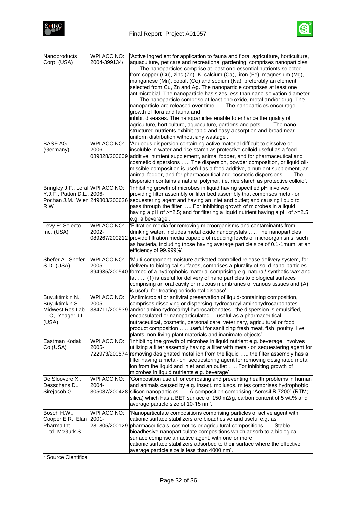



| Nanoproducts<br>Corp (USA)                                                         | <b>WPI ACC NO:</b><br>2004-399134/ | Active ingredient for application to fauna and flora, agriculture, horticulture,<br>aquaculture, pet care and recreational gardening, comprises nanoparticles<br>The nanoparticles comprise at least one essential nutrients selected<br>from copper (Cu), zinc (Zn), K, calcium (Ca), iron (Fe), magnesium (Mg),<br>manganese (Mn), cobalt (Co) and sodium (Na), preferably an element<br>selected from Cu, Zn and Ag. The nanoparticle comprises at least one<br>antimicrobial. The nanoparticle has sizes less than nano-solvation diameter.<br>The nanoparticle comprise at least one oxide, metal and/or drug. The<br>nanoparticle are released over time  The nanoparticles encourage<br>growth of flora and fauna and<br>inhibit diseases. The nanoparticles enable to enhance the quality of<br>agriculture, horticulture, aquaculture, gardens and pets.  The nano-<br>structured nutrients exhibit rapid and easy absorption and broad near<br>uniform distribution without any wastage'. |
|------------------------------------------------------------------------------------|------------------------------------|-----------------------------------------------------------------------------------------------------------------------------------------------------------------------------------------------------------------------------------------------------------------------------------------------------------------------------------------------------------------------------------------------------------------------------------------------------------------------------------------------------------------------------------------------------------------------------------------------------------------------------------------------------------------------------------------------------------------------------------------------------------------------------------------------------------------------------------------------------------------------------------------------------------------------------------------------------------------------------------------------------|
| <b>BASF AG</b>                                                                     | WPI ACC NO:                        | 'Aqueous dispersion containing active material difficult to dissolve or                                                                                                                                                                                                                                                                                                                                                                                                                                                                                                                                                                                                                                                                                                                                                                                                                                                                                                                             |
| (Germany)                                                                          | 2006-                              | insoluble in water and rice starch as protective colloid useful as a food<br>089828/200609 additive, nutrient supplement, animal fodder, and for pharmaceutical and<br>cosmetic dispersions  The dispersion, powder composition, or liquid oil-<br>miscible composition is useful as a food additive, a nutrient supplement, an<br>animal fodder, and for pharmaceutical and cosmetic dispersions  The<br>dispersion contains a natural polymer, i.e. rice starch as protective colloid'.                                                                                                                                                                                                                                                                                                                                                                                                                                                                                                           |
| Bringley J.F., Leraf WPI ACC NO:<br>Y.J.F., Patton D.L., 2006-<br>R.W.             |                                    | 'Inhibiting growth of microbes in liquid having specified pH involves<br>providing filter assembly or filter bed assembly that comprises metal-ion<br>Pochan J.M.; Wien 249803/200626 sequestering agent and having an inlet and outlet; and causing liquid to<br>pass through the filter  For inhibiting growth of microbes in a liquid<br>having a pH of >=2.5; and for filtering a liquid nutrient having a pH of >=2.5<br>e.g. a beverage'.                                                                                                                                                                                                                                                                                                                                                                                                                                                                                                                                                     |
| Levy E; Selecto<br>Inc. (USA)                                                      | WPI ACC NO:<br>2002-               | 'Filtration media for removing microorganisms and contaminants from<br>drinking water, includes metal oxide nanocrystals  The nanoparticles<br>089267/200212 provide filtration media capable of reducing levels of microorganisms, such<br>as bacteria, including those having average particle size of 0.1-1mum, at an<br>efficiency of 99.999%'.                                                                                                                                                                                                                                                                                                                                                                                                                                                                                                                                                                                                                                                 |
| Shefer A., Shefer<br>S.D. (USA)                                                    | WPI ACC NO:<br>2005-               | 'Multi-component moisture activated controlled release delivery system, for<br>delivery to biological surfaces, comprises a plurality of solid nano-particles<br>394935/200540 formed of a hydrophobic material comprising e.g. natural/ synthetic wax and<br>fat  (1) is useful for delivery of nano particles to biological surfaces<br>comprising an oral cavity or mucous membranes of various tissues and (A)<br>is useful for treating periodontal disease'.                                                                                                                                                                                                                                                                                                                                                                                                                                                                                                                                  |
| Buyuktimkin N.,<br>Buyuktimkin S.,<br>Midwest Res Lab<br>LLC, Yeager J.L.<br>(USA) | WPI ACC NO:<br>2005-               | 'Antimicrobial or antiviral preservation of liquid-containing composition,<br>comprises dissolving or dispersing hydrocarbyl aminohydrocarbonates<br>384711/200539 and/or aminohydrocarbyl hydrocarbonates the dispersion is emulsified,<br>encapsulated or nanoparticulated  useful as a pharmaceutical,<br>nutraceutical, cosmetic, personal care, veterinary, agricultural or food<br>product composition  useful for sanitizing fresh meat, fish, poultry, live<br>plants, non-living plant materials and inanimate objects'.                                                                                                                                                                                                                                                                                                                                                                                                                                                                   |
| Eastman Kodak<br>Co (USA)                                                          | WPI ACC NO:<br>2005-               | Inhibiting the growth of microbes in liquid nutrient e.g. beverage, involves<br>utilizing a filter assembly having a filter with metal-ion sequestering agent for<br>722973/200574 removing designated metal ion from the liquid … the filter assembly has a<br>filter having a metal-ion sequestering agent for removing designated metal<br>ion from the liquid and inlet and an outlet  For inhibiting growth of<br>microbes in liquid nutrients e.g. beverage'.                                                                                                                                                                                                                                                                                                                                                                                                                                                                                                                                 |
| De Sloovere X.,<br>Desschans D.,<br>Sirejacob G.                                   | WPI ACC NO:<br>2004-               | Composition useful for combating and preventing health problems in human<br>and animals caused by e.g. insect, molluscs, mites comprises hydrophobic<br>305087/200428 silicon nanoparticles  A composition comprising "Aerosil R 7200" (RTM;<br>silica) which has a BET surface of 150 m2/g, carbon content of 5 wt.% and<br>average particle size of 10-15 nm'.                                                                                                                                                                                                                                                                                                                                                                                                                                                                                                                                                                                                                                    |
| Bosch H.W.,<br>Cooper E.R., Elan 2001-<br>Pharma Int<br>Ltd; McGurk S.L.           | WPI ACC NO:                        | 'Nanoparticulate compositions comprising particles of active agent with<br>cationic surface stabilizers are bioadhesive and useful e.g. as<br>281805/200129 pharmaceuticals, cosmetics or agricultural compositions  Stable<br>bioadhesive nanoparticulate compositions which adsorb to a biological<br>surface comprise an active agent, with one or more<br>cationic surface stabilizers adsorbed to their surface where the effective<br>average particle size is less than 4000 nm'.                                                                                                                                                                                                                                                                                                                                                                                                                                                                                                            |

\* Source Cientifica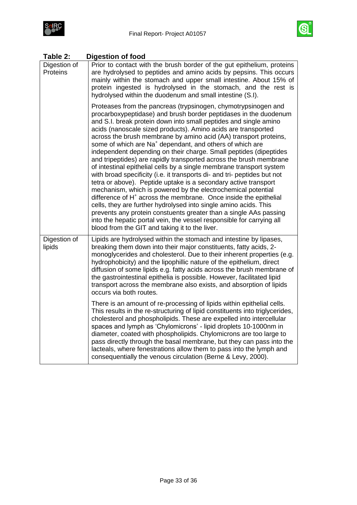



# <span id="page-32-0"></span>**Table 2: Digestion of food**

| Digestion of<br>Proteins | Prior to contact with the brush border of the gut epithelium, proteins<br>are hydrolysed to peptides and amino acids by pepsins. This occurs<br>mainly within the stomach and upper small intestine. About 15% of<br>protein ingested is hydrolysed in the stomach, and the rest is<br>hydrolysed within the duodenum and small intestine (S.I).                                                                                                                                                                                                                                                                                                                                                                                                                                                                                                                                                                                                                                                                                                                                                                                                                                                          |
|--------------------------|-----------------------------------------------------------------------------------------------------------------------------------------------------------------------------------------------------------------------------------------------------------------------------------------------------------------------------------------------------------------------------------------------------------------------------------------------------------------------------------------------------------------------------------------------------------------------------------------------------------------------------------------------------------------------------------------------------------------------------------------------------------------------------------------------------------------------------------------------------------------------------------------------------------------------------------------------------------------------------------------------------------------------------------------------------------------------------------------------------------------------------------------------------------------------------------------------------------|
|                          | Proteases from the pancreas (trypsinogen, chymotrypsinogen and<br>procarboxypeptidase) and brush border peptidases in the duodenum<br>and S.I. break protein down into small peptides and single amino<br>acids (nanoscale sized products). Amino acids are transported<br>across the brush membrane by amino acid (AA) transport proteins,<br>some of which are Na <sup>+</sup> dependant, and others of which are<br>independent depending on their charge. Small peptides (dipeptides<br>and tripeptides) are rapidly transported across the brush membrane<br>of intestinal epithelial cells by a single membrane transport system<br>with broad specificity (i.e. it transports di- and tri- peptides but not<br>tetra or above). Peptide uptake is a secondary active transport<br>mechanism, which is powered by the electrochemical potential<br>difference of H <sup>+</sup> across the membrane. Once inside the epithelial<br>cells, they are further hydrolysed into single amino acids. This<br>prevents any protein constuents greater than a single AAs passing<br>into the hepatic portal vein, the vessel responsible for carrying all<br>blood from the GIT and taking it to the liver. |
| Digestion of<br>lipids   | Lipids are hydrolysed within the stomach and intestine by lipases,<br>breaking them down into their major constituents, fatty acids, 2-<br>monoglycerides and cholesterol. Due to their inherent properties (e.g.<br>hydrophobicity) and the lipophillic nature of the epithelium, direct<br>diffusion of some lipids e.g. fatty acids across the brush membrane of<br>the gastrointestinal epithelia is possible. However, facilitated lipid<br>transport across the membrane also exists, and absorption of lipids<br>occurs via both routes.                                                                                                                                                                                                                                                                                                                                                                                                                                                                                                                                                                                                                                                           |
|                          | There is an amount of re-processing of lipids within epithelial cells.<br>This results in the re-structuring of lipid constituents into triglycerides,<br>cholesterol and phospholipids. These are expelled into intercellular<br>spaces and lymph as 'Chylomicrons' - lipid droplets 10-1000nm in<br>diameter, coated with phospholipids. Chylomicrons are too large to<br>pass directly through the basal membrane, but they can pass into the<br>lacteals, where fenestrations allow them to pass into the lymph and<br>consequentially the venous circulation (Berne & Levy, 2000).                                                                                                                                                                                                                                                                                                                                                                                                                                                                                                                                                                                                                   |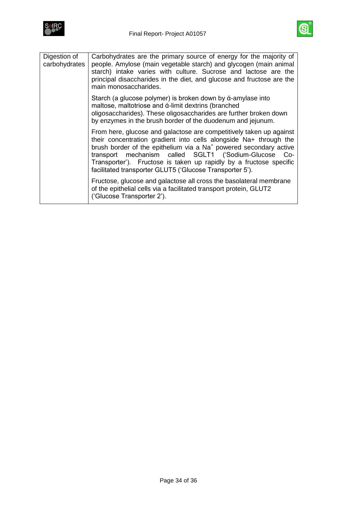



| Digestion of<br>carbohydrates | Carbohydrates are the primary source of energy for the majority of<br>people. Amylose (main vegetable starch) and glycogen (main animal<br>starch) intake varies with culture. Sucrose and lactose are the<br>principal disaccharides in the diet, and glucose and fructose are the<br>main monosaccharides.                                                                                                            |
|-------------------------------|-------------------------------------------------------------------------------------------------------------------------------------------------------------------------------------------------------------------------------------------------------------------------------------------------------------------------------------------------------------------------------------------------------------------------|
|                               | Starch (a glucose polymer) is broken down by $\alpha$ -amylase into<br>maltose, maltotriose and á-limit dextrins (branched<br>oligosaccharides). These oligosaccharides are further broken down<br>by enzymes in the brush border of the duodenum and jejunum.                                                                                                                                                          |
|                               | From here, glucose and galactose are competitively taken up against<br>their concentration gradient into cells alongside Na+ through the<br>brush border of the epithelium via a Na <sup>+</sup> powered secondary active<br>transport mechanism called SGLT1 ('Sodium-Glucose<br>Co-<br>Transporter'). Fructose is taken up rapidly by a fructose specific<br>facilitated transporter GLUT5 ('Glucose Transporter 5'). |
|                               | Fructose, glucose and galactose all cross the basolateral membrane<br>of the epithelial cells via a facilitated transport protein, GLUT2<br>('Glucose Transporter 2').                                                                                                                                                                                                                                                  |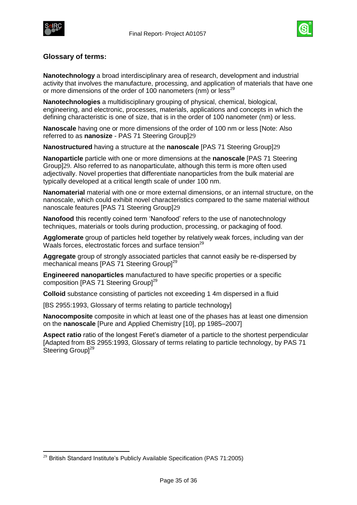

<span id="page-34-0"></span>

#### **Glossary of terms:**

**Nanotechnology** a broad interdisciplinary area of research, development and industrial activity that involves the manufacture, processing, and application of materials that have one or more dimensions of the order of 100 nanometers (nm) or less<sup>29</sup>

**Nanotechnologies** a multidisciplinary grouping of physical, chemical, biological, engineering, and electronic, processes, materials, applications and concepts in which the defining characteristic is one of size, that is in the order of 100 nanometer (nm) or less.

**Nanoscale** having one or more dimensions of the order of 100 nm or less [Note: Also referred to as **nanosize** - PAS 71 Steering Group][29](#page-34-0)

**Nanostructured** having a structure at the **nanoscale** [PAS 71 Steering Group][29](#page-34-0)

**Nanoparticle** particle with one or more dimensions at the **nanoscale** [PAS 71 Steering Group][29](#page-34-0). Also referred to as nanoparticulate, although this term is more often used adjectivally. Novel properties that differentiate nanoparticles from the bulk material are typically developed at a critical length scale of under 100 nm.

**Nanomaterial** material with one or more external dimensions, or an internal structure, on the nanoscale, which could exhibit novel characteristics compared to the same material without nanoscale features [PAS 71 Steering Group][29](#page-34-0)

**Nanofood** this recently coined term "Nanofood" refers to the use of nanotechnology techniques, materials or tools during production, processing, or packaging of food.

**Agglomerate** group of particles held together by relatively weak forces, including van der Waals forces, electrostatic forces and surface tension<sup>[29](#page-34-0)</sup>

**Aggregate** group of strongly associated particles that cannot easily be re-dispersed by mechanical means [PAS 71 Steering Group]<sup>[29](#page-34-0)</sup>

**Engineered nanoparticles** manufactured to have specific properties or a specific composition [PAS 71 Steering Group]<sup>[29](#page-34-0)</sup>

**Colloid** substance consisting of particles not exceeding 1 4m dispersed in a fluid

[BS 2955:1993, Glossary of terms relating to particle technology]

**Nanocomposite** composite in which at least one of the phases has at least one dimension on the **nanoscale** [Pure and Applied Chemistry [10], pp 1985–2007]

**Aspect ratio** ratio of the longest Feret"s diameter of a particle to the shortest perpendicular [Adapted from BS 2955:1993, Glossary of terms relating to particle technology, by PAS 71 Steering Groupl<sup>[29](#page-34-0)</sup>

<sup>&</sup>lt;sup>29</sup> British Standard Institute's Publicly Available Specification (PAS 71:2005)